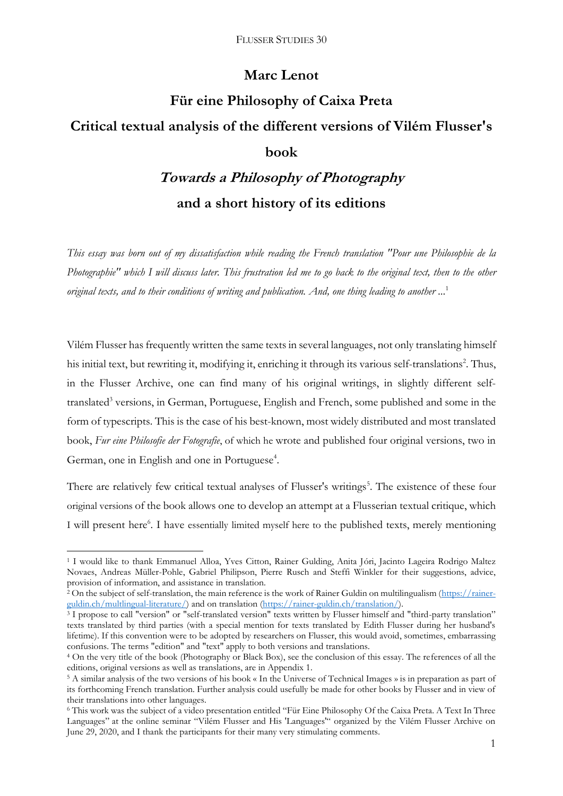## **Marc Lenot**

# **Für eine Philosophy of Caixa Preta Critical textual analysis of the different versions of Vilém Flusser's book**

## **Towards a Philosophy of Photography and a short history of its editions**

*This essay was born out of my dissatisfaction while reading the French translation "Pour une Philosophie de la Photographie" which I will discuss later. This frustration led me to go back to the original text, then to the other original texts, and to their conditions of writing and publication. And, one thing leading to another ...* 1

Vilém Flusser has frequently written the same texts in several languages, not only translating himself his initial text, but rewriting it, modifying it, enriching it through its various self-translations<sup>2</sup>. Thus, in the Flusser Archive, one can find many of his original writings, in slightly different selftranslated<sup>3</sup> versions, in German, Portuguese, English and French, some published and some in the form of typescripts. This is the case of his best-known, most widely distributed and most translated book, *Fur eine Philosofie der Fotografie*, of which he wrote and published four original versions, two in German, one in English and one in Portuguese<sup>4</sup>.

There are relatively few critical textual analyses of Flusser's writings<sup>5</sup>. The existence of these four original versions of the book allows one to develop an attempt at a Flusserian textual critique, which I will present here<sup>6</sup>. I have essentially limited myself here to the published texts, merely mentioning

<sup>1</sup> I would like to thank Emmanuel Alloa, Yves Citton, Rainer Gulding, Anita Jóri, Jacinto Lageira Rodrigo Maltez Novaes, Andreas Müller-Pohle, Gabriel Philipson, Pierre Rusch and Steffi Winkler for their suggestions, advice, provision of information, and assistance in translation.

<sup>2</sup> On the subject of self-translation, the main reference is the work of Rainer Guldin on multilingualism [\(https://rainer](https://rainer-guldin.ch/multlingual-literature/)[guldin.ch/multlingual-literature/\)](https://rainer-guldin.ch/multlingual-literature/) and on translation [\(https://rainer-guldin.ch/translation/\)](https://rainer-guldin.ch/translation/).

<sup>&</sup>lt;sup>3</sup> I propose to call "version" or "self-translated version" texts written by Flusser himself and "third-party translation" texts translated by third parties (with a special mention for texts translated by Edith Flusser during her husband's lifetime). If this convention were to be adopted by researchers on Flusser, this would avoid, sometimes, embarrassing confusions. The terms "edition" and "text" apply to both versions and translations.

<sup>4</sup> On the very title of the book (Photography or Black Box), see the conclusion of this essay. The references of all the editions, original versions as well as translations, are in Appendix 1.

<sup>5</sup> A similar analysis of the two versions of his book « In the Universe of Technical Images » is in preparation as part of its forthcoming French translation. Further analysis could usefully be made for other books by Flusser and in view of their translations into other languages.

<sup>6</sup> This work was the subject of a video presentation entitled "Für Eine Philosophy Of the Caixa Preta. A Text In Three Languages" at the online seminar "Vilém Flusser and His 'Languages'" organized by the Vilém Flusser Archive on June 29, 2020, and I thank the participants for their many very stimulating comments.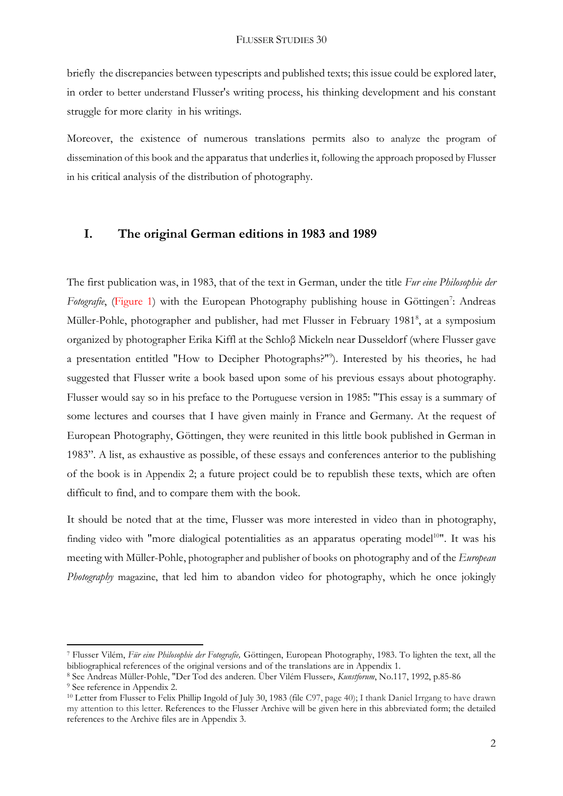briefly the discrepancies between typescripts and published texts; this issue could be explored later, in order to better understand Flusser's writing process, his thinking development and his constant struggle for more clarity in his writings.

Moreover, the existence of numerous translations permits also to analyze the program of dissemination of this book and the apparatus that underlies it, following the approach proposed by Flusser in his critical analysis of the distribution of photography.

## **I. The original German editions in 1983 and 1989**

The first publication was, in 1983, that of the text in German, under the title *Fur eine Philosophie der* Fotografie, (Figure 1) with the European Photography publishing house in Göttingen<sup>7</sup>: Andreas Müller-Pohle, photographer and publisher, had met Flusser in February 1981<sup>8</sup>, at a symposium organized by photographer Erika Kiffl at the Schloβ Mickeln near Dusseldorf (where Flusser gave a presentation entitled "How to Decipher Photographs?"<sup>9</sup> ). Interested by his theories, he had suggested that Flusser write a book based upon some of his previous essays about photography. Flusser would say so in his preface to the Portuguese version in 1985: "This essay is a summary of some lectures and courses that I have given mainly in France and Germany. At the request of European Photography, Göttingen, they were reunited in this little book published in German in 1983". A list, as exhaustive as possible, of these essays and conferences anterior to the publishing of the book is in Appendix 2; a future project could be to republish these texts, which are often difficult to find, and to compare them with the book.

It should be noted that at the time, Flusser was more interested in video than in photography, finding video with "more dialogical potentialities as an apparatus operating model<sup>10"</sup>. It was his meeting with Müller-Pohle, photographer and publisher of books on photography and of the *European Photography* magazine, that led him to abandon video for photography, which he once jokingly

<sup>7</sup> Flusser Vilém, *Für eine Philosophie der Fotografie,* Göttingen, European Photography, 1983. To lighten the text, all the bibliographical references of the original versions and of the translations are in Appendix 1.

<sup>8</sup> See Andreas Müller-Pohle, "Der Tod des anderen. Über Vilém Flusser», *Kunstforum*, No.117, 1992, p.85-86

<sup>9</sup> See reference in Appendix 2.

<sup>10</sup> Letter from Flusser to Felix Phillip Ingold of July 30, 1983 (file C97, page 40); I thank Daniel Irrgang to have drawn my attention to this letter. References to the Flusser Archive will be given here in this abbreviated form; the detailed references to the Archive files are in Appendix 3.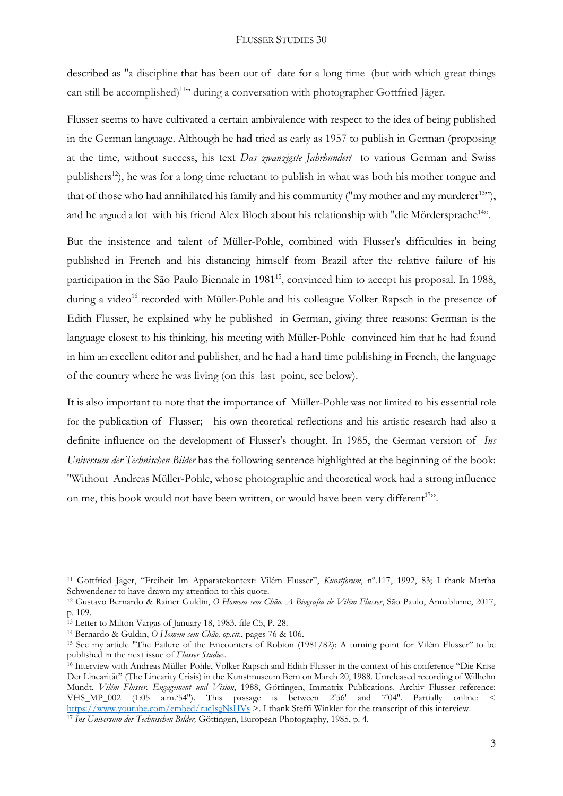described as "a discipline that has been out of date for a long time (but with which great things can still be accomplished)<sup>11</sup>" during a conversation with photographer Gottfried Jäger.

Flusser seems to have cultivated a certain ambivalence with respect to the idea of being published in the German language. Although he had tried as early as 1957 to publish in German (proposing at the time, without success, his text *Das zwanzigste Jahrhundert* to various German and Swiss publishers<sup>12</sup>), he was for a long time reluctant to publish in what was both his mother tongue and that of those who had annihilated his family and his community ("my mother and my murderer $13"$ ), and he argued a lot with his friend Alex Bloch about his relationship with "die Mördersprache<sup>14</sup>".

But the insistence and talent of Müller-Pohle, combined with Flusser's difficulties in being published in French and his distancing himself from Brazil after the relative failure of his participation in the São Paulo Biennale in 1981<sup>15</sup>, convinced him to accept his proposal. In 1988, during a video<sup>16</sup> recorded with Müller-Pohle and his colleague Volker Rapsch in the presence of Edith Flusser, he explained why he published in German, giving three reasons: German is the language closest to his thinking, his meeting with Müller-Pohle convinced him that he had found in him an excellent editor and publisher, and he had a hard time publishing in French, the language of the country where he was living (on this last point, see below).

It is also important to note that the importance of Müller-Pohle was not limited to his essential role for the publication of Flusser; his own theoretical reflections and his artistic research had also a definite influence on the development of Flusser's thought. In 1985, the German version of *Ins Universum der Technischen Bilder* has the following sentence highlighted at the beginning of the book: "Without Andreas Müller-Pohle, whose photographic and theoretical work had a strong influence on me, this book would not have been written, or would have been very different<sup>17</sup>".

<sup>11</sup> Gottfried Jäger, "Freiheit Im Apparatekontext: Vilém Flusser", *Kunstforum*, nº.117, 1992, 83; I thank Martha Schwendener to have drawn my attention to this quote.

<sup>12</sup> Gustavo Bernardo & Rainer Guldin, *O Homem sem Chão. A Biografia de Vilém Flusser*, São Paulo, Annablume, 2017, p. 109.

<sup>13</sup> Letter to Milton Vargas of January 18, 1983, file C5, P. 28.

<sup>14</sup> Bernardo & Guldin, *O Homem sem Chão, op.cit*., pages 76 & 106.

<sup>15</sup> See my article "The Failure of the Encounters of Robion (1981/82): A turning point for Vilém Flusser" to be published in the next issue of *Flusser Studies*.

<sup>16</sup> Interview with Andreas Müller-Pohle, Volker Rapsch and Edith Flusser in the context of his conference "Die Krise Der Linearität" (The Linearity Crisis) in the Kunstmuseum Bern on March 20, 1988. Unreleased recording of Wilhelm Mundt, *Vilém Flusser. Engagement und Vision*, 1988, Göttingen, Immatrix Publications. Archiv Flusser reference: VHS\_MP\_002 (1:05 a.m.'54''). This passage is between 2'56' and 7'04''. Partially online: < <https://www.youtube.com/embed/rucJsgNsHVs> >. I thank Steffi Winkler for the transcript of this interview.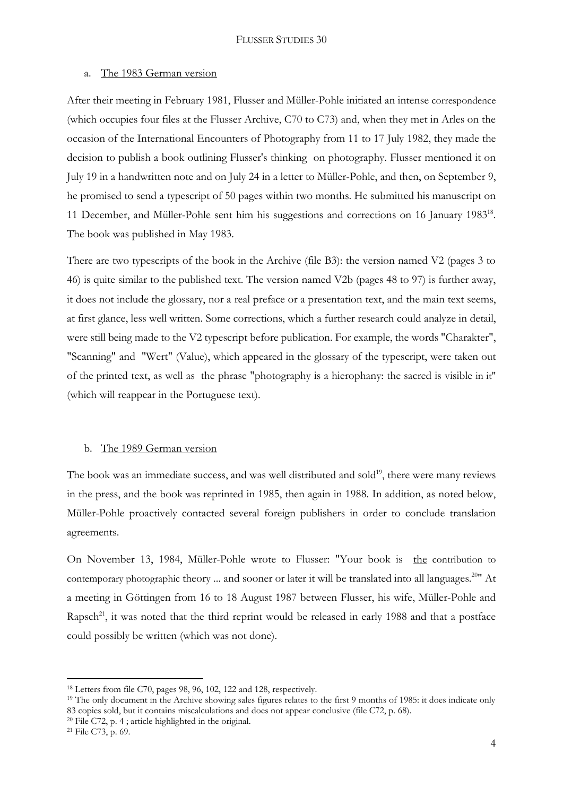#### a. The 1983 German version

After their meeting in February 1981, Flusser and Müller-Pohle initiated an intense correspondence (which occupies four files at the Flusser Archive, C70 to C73) and, when they met in Arles on the occasion of the International Encounters of Photography from 11 to 17 July 1982, they made the decision to publish a book outlining Flusser's thinking on photography. Flusser mentioned it on July 19 in a handwritten note and on July 24 in a letter to Müller-Pohle, and then, on September 9, he promised to send a typescript of 50 pages within two months. He submitted his manuscript on 11 December, and Müller-Pohle sent him his suggestions and corrections on 16 January 1983<sup>18</sup>. The book was published in May 1983.

There are two typescripts of the book in the Archive (file B3): the version named V2 (pages 3 to 46) is quite similar to the published text. The version named V2b (pages 48 to 97) is further away, it does not include the glossary, nor a real preface or a presentation text, and the main text seems, at first glance, less well written. Some corrections, which a further research could analyze in detail, were still being made to the V2 typescript before publication. For example, the words "Charakter", "Scanning" and "Wert" (Value), which appeared in the glossary of the typescript, were taken out of the printed text, as well as the phrase "photography is a hierophany: the sacred is visible in it" (which will reappear in the Portuguese text).

#### b. The 1989 German version

The book was an immediate success, and was well distributed and sold<sup>19</sup>, there were many reviews in the press, and the book was reprinted in 1985, then again in 1988. In addition, as noted below, Müller-Pohle proactively contacted several foreign publishers in order to conclude translation agreements.

On November 13, 1984, Müller-Pohle wrote to Flusser: "Your book is the contribution to contemporary photographic theory ... and sooner or later it will be translated into all languages.<sup>2011</sup> At a meeting in Göttingen from 16 to 18 August 1987 between Flusser, his wife, Müller-Pohle and Rapsch<sup>21</sup>, it was noted that the third reprint would be released in early 1988 and that a postface could possibly be written (which was not done).

 $20$  File C72, p. 4; article highlighted in the original.

<sup>18</sup> Letters from file C70, pages 98, 96, 102, 122 and 128, respectively.

<sup>&</sup>lt;sup>19</sup> The only document in the Archive showing sales figures relates to the first 9 months of 1985: it does indicate only 83 copies sold, but it contains miscalculations and does not appear conclusive (file C72, p. 68).

<sup>21</sup> File C73, p. 69.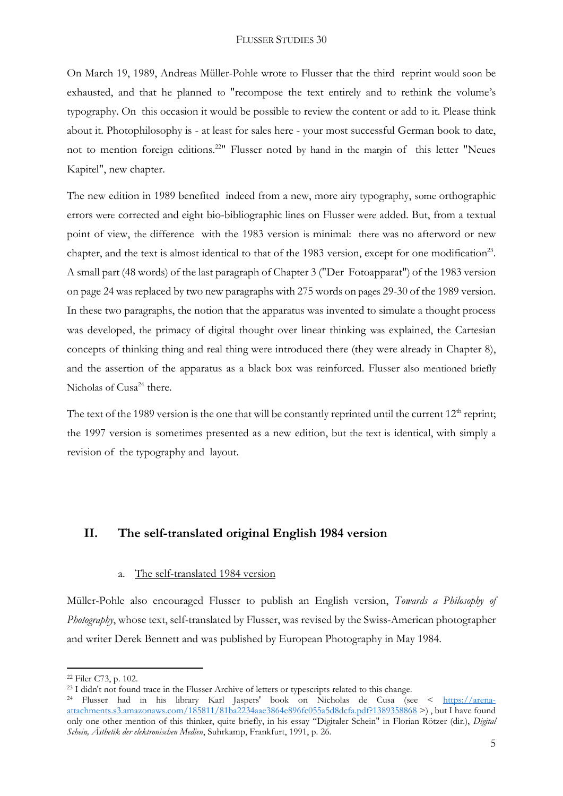On March 19, 1989, Andreas Müller-Pohle wrote to Flusser that the third reprint would soon be exhausted, and that he planned to "recompose the text entirely and to rethink the volume's typography. On this occasion it would be possible to review the content or add to it. Please think about it. Photophilosophy is - at least for sales here - your most successful German book to date, not to mention foreign editions.<sup>22</sup>" Flusser noted by hand in the margin of this letter "Neues Kapitel", new chapter.

The new edition in 1989 benefited indeed from a new, more airy typography, some orthographic errors were corrected and eight bio-bibliographic lines on Flusser were added. But, from a textual point of view, the difference with the 1983 version is minimal: there was no afterword or new chapter, and the text is almost identical to that of the 1983 version, except for one modification<sup>23</sup>. A small part (48 words) of the last paragraph of Chapter 3 ("Der Fotoapparat") of the 1983 version on page 24 was replaced by two new paragraphs with 275 words on pages 29-30 of the 1989 version. In these two paragraphs, the notion that the apparatus was invented to simulate a thought process was developed, the primacy of digital thought over linear thinking was explained, the Cartesian concepts of thinking thing and real thing were introduced there (they were already in Chapter 8), and the assertion of the apparatus as a black box was reinforced. Flusser also mentioned briefly Nicholas of Cusa<sup>24</sup> there.

The text of the 1989 version is the one that will be constantly reprinted until the current  $12<sup>th</sup>$  reprint; the 1997 version is sometimes presented as a new edition, but the text is identical, with simply a revision of the typography and layout.

## **II. The self-translated original English 1984 version**

#### a. The self-translated 1984 version

Müller-Pohle also encouraged Flusser to publish an English version, *Towards a Philosophy of Photography*, whose text, self-translated by Flusser, was revised by the Swiss-American photographer and writer Derek Bennett and was published by European Photography in May 1984.

<sup>22</sup> Filer C73, p. 102.

<sup>&</sup>lt;sup>23</sup> I didn't not found trace in the Flusser Archive of letters or typescripts related to this change.

<sup>24</sup> Flusser had in his library Karl Jaspers' book on Nicholas de Cusa (see < [https://arena](https://arena-attachments.s3.amazonaws.com/185811/81ba2234aae3864e896fc055a5d8dcfa.pdf?1389358868)[attachments.s3.amazonaws.com/185811/81ba2234aae3864e896fc055a5d8dcfa.pdf?1389358868](https://arena-attachments.s3.amazonaws.com/185811/81ba2234aae3864e896fc055a5d8dcfa.pdf?1389358868) >) , but I have found only one other mention of this thinker, quite briefly, in his essay "Digitaler Schein" in Florian Rötzer (dir.), *Digital Schein, Ästhetik der elektronischen Medien*, Suhrkamp, Frankfurt, 1991, p. 26.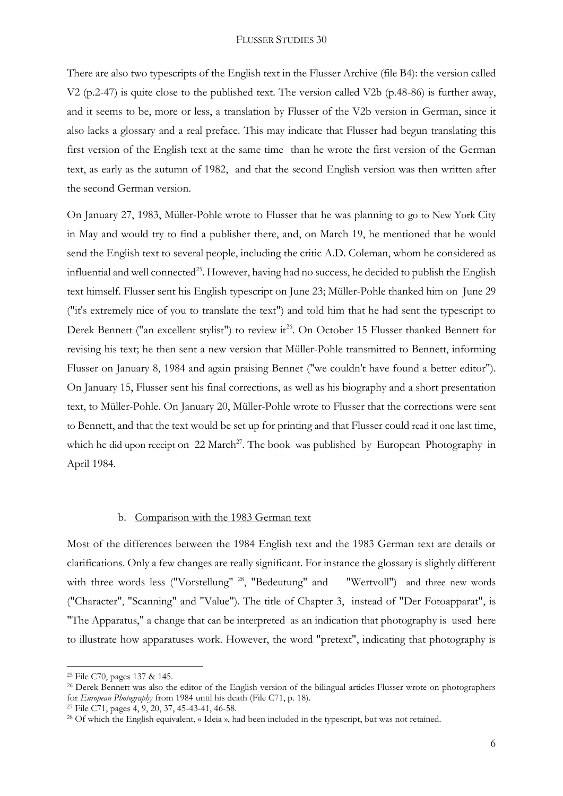There are also two typescripts of the English text in the Flusser Archive (file B4): the version called V2 (p.2-47) is quite close to the published text. The version called V2b (p.48-86) is further away, and it seems to be, more or less, a translation by Flusser of the V2b version in German, since it also lacks a glossary and a real preface. This may indicate that Flusser had begun translating this first version of the English text at the same time than he wrote the first version of the German text, as early as the autumn of 1982, and that the second English version was then written after the second German version.

On January 27, 1983, Müller-Pohle wrote to Flusser that he was planning to go to New York City in May and would try to find a publisher there, and, on March 19, he mentioned that he would send the English text to several people, including the critic A.D. Coleman, whom he considered as influential and well connected<sup>25</sup>. However, having had no success, he decided to publish the English text himself. Flusser sent his English typescript on June 23; Müller-Pohle thanked him on June 29 ("it's extremely nice of you to translate the text") and told him that he had sent the typescript to Derek Bennett ("an excellent stylist") to review it<sup>26</sup>. On October 15 Flusser thanked Bennett for revising his text; he then sent a new version that Müller-Pohle transmitted to Bennett, informing Flusser on January 8, 1984 and again praising Bennet ("we couldn't have found a better editor"). On January 15, Flusser sent his final corrections, as well as his biography and a short presentation text, to Müller-Pohle. On January 20, Müller-Pohle wrote to Flusser that the corrections were sent to Bennett, and that the text would be set up for printing and that Flusser could read it one last time, which he did upon receipt on  $22$  March<sup>27</sup>. The book was published by European Photography in April 1984.

#### b. Comparison with the 1983 German text

Most of the differences between the 1984 English text and the 1983 German text are details or clarifications. Only a few changes are really significant. For instance the glossary is slightly different with three words less ("Vorstellung" <sup>28</sup>, "Bedeutung" and "Wertvoll") and three new words ("Character", "Scanning" and "Value"). The title of Chapter 3, instead of "Der Fotoapparat", is "The Apparatus," a change that can be interpreted as an indication that photography is used here to illustrate how apparatuses work. However, the word "pretext", indicating that photography is

<sup>25</sup> File C70, pages 137 & 145.

<sup>&</sup>lt;sup>26</sup> Derek Bennett was also the editor of the English version of the bilingual articles Flusser wrote on photographers for *European Photography* from 1984 until his death (File C71, p. 18).

<sup>27</sup> File C71, pages 4, 9, 20, 37, 45-43-41, 46-58.

<sup>28</sup> Of which the English equivalent, « Ideia », had been included in the typescript, but was not retained.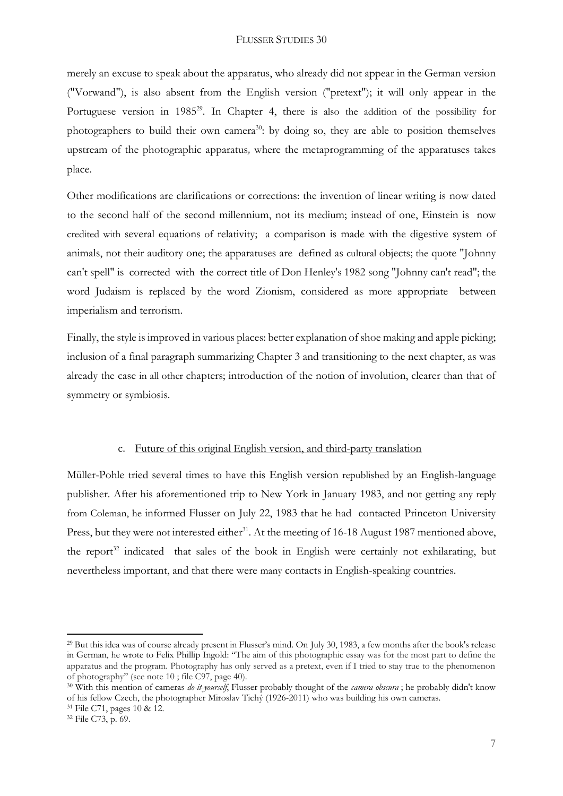merely an excuse to speak about the apparatus, who already did not appear in the German version ("Vorwand"), is also absent from the English version ("pretext"); it will only appear in the Portuguese version in 1985<sup>29</sup>. In Chapter 4, there is also the addition of the possibility for photographers to build their own camera<sup>30</sup>: by doing so, they are able to position themselves upstream of the photographic apparatus*,* where the metaprogramming of the apparatuses takes place.

Other modifications are clarifications or corrections: the invention of linear writing is now dated to the second half of the second millennium, not its medium; instead of one, Einstein is now credited with several equations of relativity; a comparison is made with the digestive system of animals, not their auditory one; the apparatuses are defined as cultural objects; the quote "Johnny can't spell" is corrected with the correct title of Don Henley's 1982 song "Johnny can't read"; the word Judaism is replaced by the word Zionism, considered as more appropriate between imperialism and terrorism.

Finally, the style is improved in various places: better explanation of shoe making and apple picking; inclusion of a final paragraph summarizing Chapter 3 and transitioning to the next chapter, as was already the case in all other chapters; introduction of the notion of involution, clearer than that of symmetry or symbiosis.

## c. Future of this original English version, and third-party translation

Müller-Pohle tried several times to have this English version republished by an English-language publisher. After his aforementioned trip to New York in January 1983, and not getting any reply from Coleman, he informed Flusser on July 22, 1983 that he had contacted Princeton University Press, but they were not interested either<sup>31</sup>. At the meeting of 16-18 August 1987 mentioned above, the report<sup>32</sup> indicated that sales of the book in English were certainly not exhilarating, but nevertheless important, and that there were many contacts in English-speaking countries.

<sup>&</sup>lt;sup>29</sup> But this idea was of course already present in Flusser's mind. On July 30, 1983, a few months after the book's release in German, he wrote to Felix Phillip Ingold: "The aim of this photographic essay was for the most part to define the apparatus and the program. Photography has only served as a pretext, even if I tried to stay true to the phenomenon of photography" (see note 10 ; file C97, page 40).

<sup>30</sup> With this mention of cameras *do-it-yourself*, Flusser probably thought of the *camera obscura* ; he probably didn't know of his fellow Czech, the photographer Miroslav Tichý (1926-2011) who was building his own cameras.

<sup>31</sup> File C71, pages 10 & 12.

<sup>32</sup> File C73, p. 69.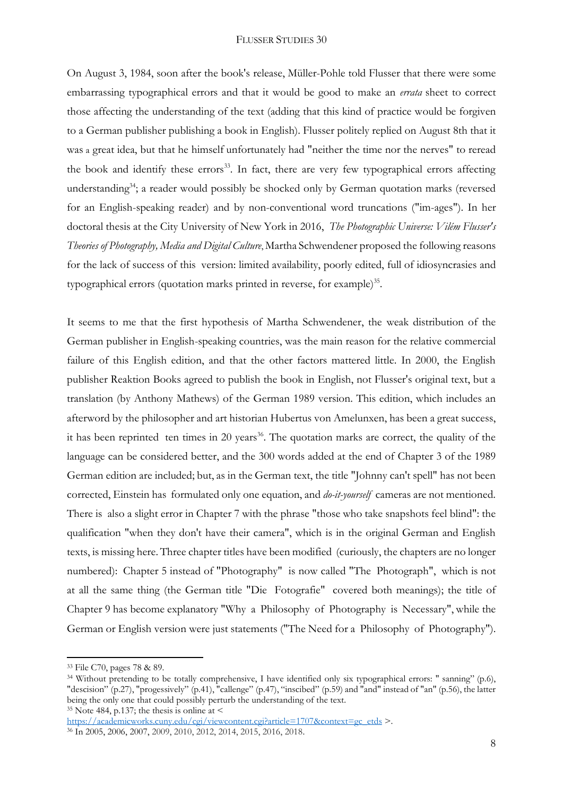On August 3, 1984, soon after the book's release, Müller-Pohle told Flusser that there were some embarrassing typographical errors and that it would be good to make an *errata* sheet to correct those affecting the understanding of the text (adding that this kind of practice would be forgiven to a German publisher publishing a book in English). Flusser politely replied on August 8th that it was a great idea, but that he himself unfortunately had "neither the time nor the nerves" to reread the book and identify these errors<sup>33</sup>. In fact, there are very few typographical errors affecting understanding<sup>34</sup>; a reader would possibly be shocked only by German quotation marks (reversed for an English-speaking reader) and by non-conventional word truncations ("im-ages"). In her doctoral thesis at the City University of New York in 2016, *The Photographic Universe: Vilém Flusser's Theories of Photography, Media and Digital Culture*, Martha Schwendener proposed the following reasons for the lack of success of this version: limited availability, poorly edited, full of idiosyncrasies and typographical errors (quotation marks printed in reverse, for example)<sup>35</sup>.

It seems to me that the first hypothesis of Martha Schwendener, the weak distribution of the German publisher in English-speaking countries, was the main reason for the relative commercial failure of this English edition, and that the other factors mattered little. In 2000, the English publisher Reaktion Books agreed to publish the book in English, not Flusser's original text, but a translation (by Anthony Mathews) of the German 1989 version. This edition, which includes an afterword by the philosopher and art historian Hubertus von Amelunxen, has been a great success, it has been reprinted ten times in 20 years<sup>36</sup>. The quotation marks are correct, the quality of the language can be considered better, and the 300 words added at the end of Chapter 3 of the 1989 German edition are included; but, as in the German text, the title "Johnny can't spell" has not been corrected, Einstein has formulated only one equation, and *do-it-yourself* cameras are not mentioned. There is also a slight error in Chapter 7 with the phrase "those who take snapshots feel blind": the qualification "when they don't have their camera", which is in the original German and English texts, is missing here. Three chapter titles have been modified (curiously, the chapters are no longer numbered): Chapter 5 instead of "Photography" is now called "The Photograph", which is not at all the same thing (the German title "Die Fotografie" covered both meanings); the title of Chapter 9 has become explanatory "Why a Philosophy of Photography is Necessary", while the German or English version were just statements ("The Need for a Philosophy of Photography").

<sup>33</sup> File C70, pages 78 & 89.

 $34$  Without pretending to be totally comprehensive, I have identified only six typographical errors: " sanning" (p.6), "descision" (p.27), "progessively" (p.41), "callenge" (p.47), "inscibed" (p.59) and "and" instead of "an" (p.56), the latter being the only one that could possibly perturb the understanding of the text. <sup>35</sup> Note 484, p.137; the thesis is online at  $\leq$ 

[https://academicworks.cuny.edu/cgi/viewcontent.cgi?article=1707&context=gc\\_etds](https://academicworks.cuny.edu/cgi/viewcontent.cgi?article=1707&context=gc_etds) >.

<sup>36</sup> In 2005, 2006, 2007, 2009, 2010, 2012, 2014, 2015, 2016, 2018.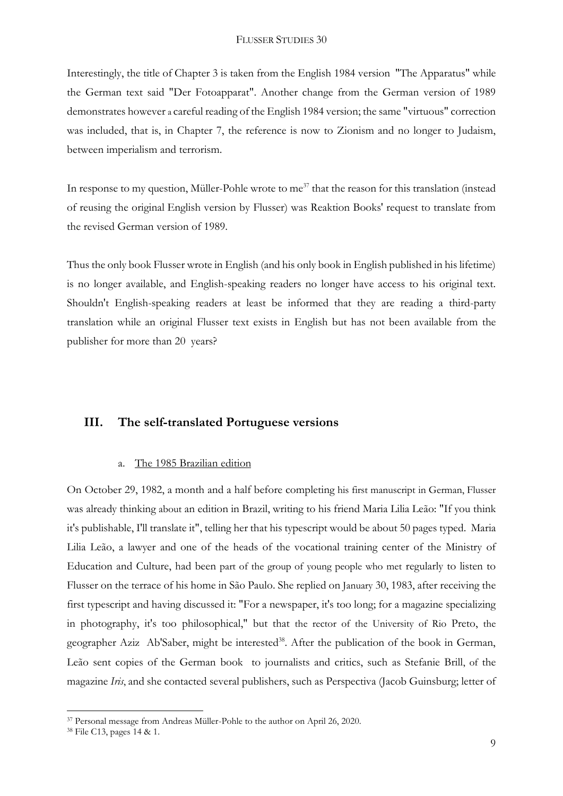Interestingly, the title of Chapter 3 is taken from the English 1984 version "The Apparatus" while the German text said "Der Fotoapparat". Another change from the German version of 1989 demonstrates however a careful reading of the English 1984 version; the same "virtuous" correction was included, that is, in Chapter 7, the reference is now to Zionism and no longer to Judaism, between imperialism and terrorism.

In response to my question, Müller-Pohle wrote to me<sup>37</sup> that the reason for this translation (instead of reusing the original English version by Flusser) was Reaktion Books' request to translate from the revised German version of 1989.

Thus the only book Flusser wrote in English (and his only book in English published in his lifetime) is no longer available, and English-speaking readers no longer have access to his original text. Shouldn't English-speaking readers at least be informed that they are reading a third-party translation while an original Flusser text exists in English but has not been available from the publisher for more than 20 years?

## **III. The self-translated Portuguese versions**

#### a. The 1985 Brazilian edition

On October 29, 1982, a month and a half before completing his first manuscript in German, Flusser was already thinking about an edition in Brazil, writing to his friend Maria Lilia Leão: "If you think it's publishable, I'll translate it", telling her that his typescript would be about 50 pages typed. Maria Lilia Leão, a lawyer and one of the heads of the vocational training center of the Ministry of Education and Culture, had been part of the group of young people who met regularly to listen to Flusser on the terrace of his home in São Paulo. She replied on January 30, 1983, after receiving the first typescript and having discussed it: "For a newspaper, it's too long; for a magazine specializing in photography, it's too philosophical," but that the rector of the University of Rio Preto, the geographer Aziz Ab'Saber, might be interested<sup>38</sup>. After the publication of the book in German, Leão sent copies of the German book to journalists and critics, such as Stefanie Brill, of the magazine *Iris*, and she contacted several publishers, such as Perspectiva (Jacob Guinsburg; letter of

<sup>37</sup> Personal message from Andreas Müller-Pohle to the author on April 26, 2020.

<sup>38</sup> File C13, pages 14 & 1.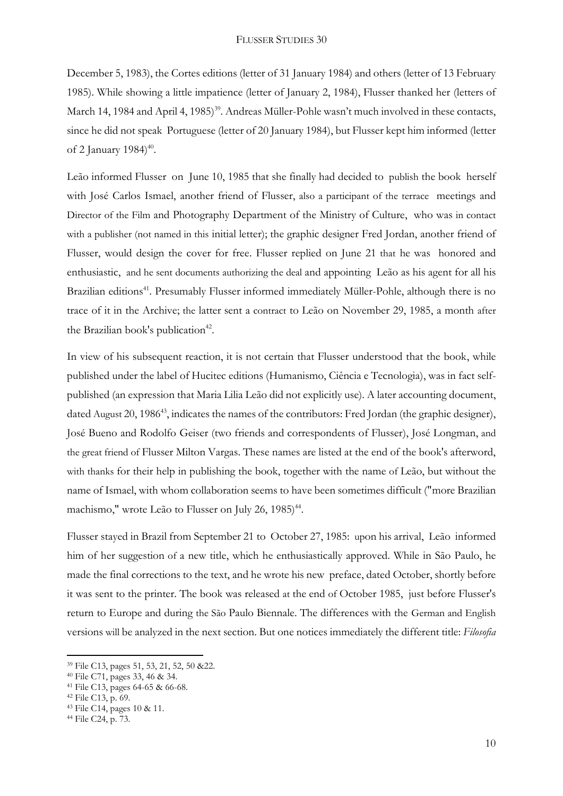December 5, 1983), the Cortes editions (letter of 31 January 1984) and others (letter of 13 February 1985). While showing a little impatience (letter of January 2, 1984), Flusser thanked her (letters of March 14, 1984 and April 4, 1985)<sup>39</sup>. Andreas Müller-Pohle wasn't much involved in these contacts, since he did not speak Portuguese (letter of 20 January 1984), but Flusser kept him informed (letter of 2 January  $1984$ <sup>40</sup>.

Leão informed Flusser on June 10, 1985 that she finally had decided to publish the book herself with José Carlos Ismael, another friend of Flusser, also a participant of the terrace meetings and Director of the Film and Photography Department of the Ministry of Culture, who was in contact with a publisher (not named in this initial letter); the graphic designer Fred Jordan, another friend of Flusser, would design the cover for free. Flusser replied on June 21 that he was honored and enthusiastic, and he sent documents authorizing the deal and appointing Leão as his agent for all his Brazilian editions<sup>41</sup>. Presumably Flusser informed immediately Müller-Pohle, although there is no trace of it in the Archive; the latter sent a contract to Leão on November 29, 1985, a month after the Brazilian book's publication<sup>42</sup>.

In view of his subsequent reaction, it is not certain that Flusser understood that the book, while published under the label of Hucitec editions (Humanismo, Ciência e Tecnologia), was in fact selfpublished (an expression that Maria Lilia Leão did not explicitly use). A later accounting document, dated August 20, 1986<sup>43</sup>, indicates the names of the contributors: Fred Jordan (the graphic designer), José Bueno and Rodolfo Geiser (two friends and correspondents of Flusser), José Longman, and the great friend of Flusser Milton Vargas. These names are listed at the end of the book's afterword, with thanks for their help in publishing the book, together with the name of Leão, but without the name of Ismael, with whom collaboration seems to have been sometimes difficult ("more Brazilian machismo," wrote Leão to Flusser on July 26, 1985)<sup>44</sup>.

Flusser stayed in Brazil from September 21 to October 27, 1985: upon his arrival, Leão informed him of her suggestion of a new title, which he enthusiastically approved. While in São Paulo, he made the final corrections to the text, and he wrote his new preface, dated October, shortly before it was sent to the printer. The book was released at the end of October 1985, just before Flusser's return to Europe and during the São Paulo Biennale. The differences with the German and English versions will be analyzed in the next section. But one notices immediately the different title: *Filosofia* 

<sup>39</sup> File C13, pages 51, 53, 21, 52, 50 &22.

<sup>40</sup> File C71, pages 33, 46 & 34.

<sup>41</sup> File C13, pages 64-65 & 66-68.

<sup>42</sup> File C13, p. 69.

<sup>43</sup> File C14, pages 10 & 11.

<sup>44</sup> File C24, p. 73.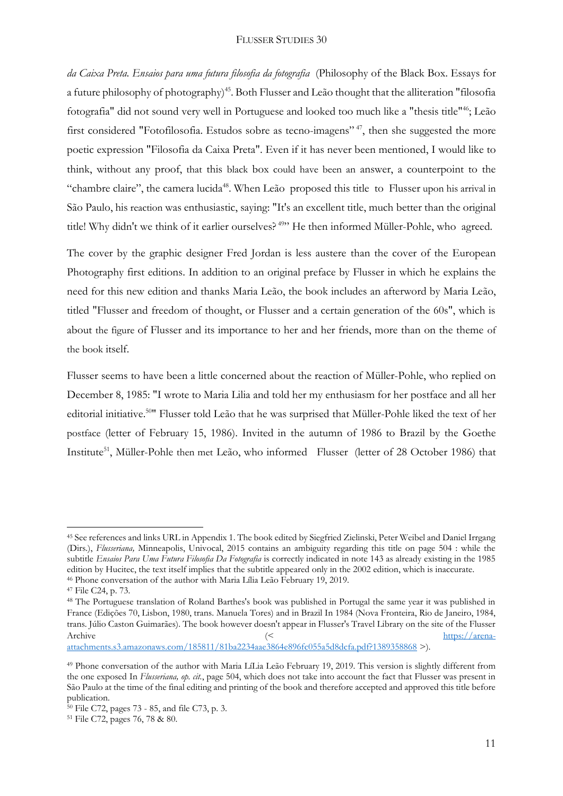*da Caixa Preta. Ensaios para uma futura filosofia da fotografia* (Philosophy of the Black Box. Essays for a future philosophy of photography)<sup>45</sup>. Both Flusser and Leão thought that the alliteration "filosofia" fotografia" did not sound very well in Portuguese and looked too much like a "thesis title"<sup>46</sup>; Leão first considered "Fotofilosofia. Estudos sobre as tecno-imagens"<sup>47</sup>, then she suggested the more poetic expression "Filosofia da Caixa Preta". Even if it has never been mentioned, I would like to think, without any proof, that this black box could have been an answer, a counterpoint to the "chambre claire", the camera lucida<sup>48</sup>. When Leão proposed this title to Flusser upon his arrival in São Paulo, his reaction was enthusiastic, saying: "It's an excellent title, much better than the original title! Why didn't we think of it earlier ourselves?<sup>49</sup>" He then informed Müller-Pohle, who agreed.

The cover by the graphic designer Fred Jordan is less austere than the cover of the European Photography first editions. In addition to an original preface by Flusser in which he explains the need for this new edition and thanks Maria Leão, the book includes an afterword by Maria Leão, titled "Flusser and freedom of thought, or Flusser and a certain generation of the 60s", which is about the figure of Flusser and its importance to her and her friends, more than on the theme of the book itself.

Flusser seems to have been a little concerned about the reaction of Müller-Pohle, who replied on December 8, 1985: "I wrote to Maria Lilia and told her my enthusiasm for her postface and all her editorial initiative.<sup>50</sup>" Flusser told Leão that he was surprised that Müller-Pohle liked the text of her postface (letter of February 15, 1986). Invited in the autumn of 1986 to Brazil by the Goethe Institute<sup>51</sup>, Müller-Pohle then met Leão, who informed Flusser (letter of 28 October 1986) that

<sup>45</sup> See references and links URL in Appendix 1. The book edited by Siegfried Zielinski, Peter Weibel and Daniel Irrgang (Dirs.), *Flusseriana,* Minneapolis, Univocal, 2015 contains an ambiguity regarding this title on page 504 : while the subtitle *Ensaios Para Uma Futura Filosofia Da Fotografia* is correctly indicated in note 143 as already existing in the 1985 edition by Hucitec, the text itself implies that the subtitle appeared only in the 2002 edition, which is inaccurate.

<sup>46</sup> Phone conversation of the author with Maria Lília Leão February 19, 2019.

<sup>47</sup> File C24, p. 73.

<sup>48</sup> The Portuguese translation of Roland Barthes's book was published in Portugal the same year it was published in France (Edições 70, Lisbon, 1980, trans. Manuela Tores) and in Brazil In 1984 (Nova Fronteira, Rio de Janeiro, 1984, trans. Júlio Caston Guimarães). The book however doesn't appear in Flusser's Travel Library on the site of the Flusser Archive  $\langle \langle \rangle$  [https://arena-](https://arena-attachments.s3.amazonaws.com/185811/81ba2234aae3864e896fc055a5d8dcfa.pdf?1389358868)

[attachments.s3.amazonaws.com/185811/81ba2234aae3864e896fc055a5d8dcfa.pdf?1389358868](https://arena-attachments.s3.amazonaws.com/185811/81ba2234aae3864e896fc055a5d8dcfa.pdf?1389358868) >).

<sup>&</sup>lt;sup>49</sup> Phone conversation of the author with Maria LíLia Leão February 19, 2019. This version is slightly different from the one exposed In *Flusseriana, op. cit.*, page 504, which does not take into account the fact that Flusser was present in São Paulo at the time of the final editing and printing of the book and therefore accepted and approved this title before publication.

<sup>50</sup> File C72, pages 73 - 85, and file C73, p. 3.

<sup>51</sup> File C72, pages 76, 78 & 80.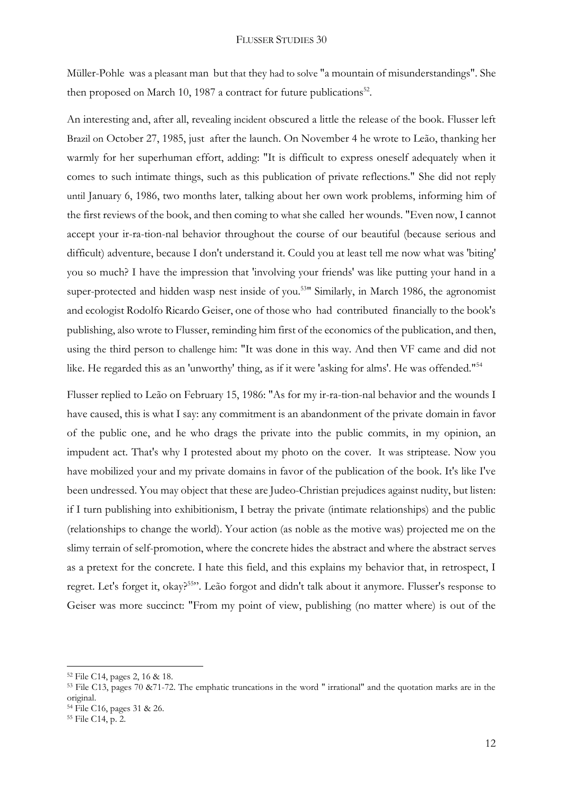Müller-Pohle was a pleasant man but that they had to solve "a mountain of misunderstandings". She then proposed on March 10, 1987 a contract for future publications<sup>52</sup>.

An interesting and, after all, revealing incident obscured a little the release of the book. Flusser left Brazil on October 27, 1985, just after the launch. On November 4 he wrote to Leão, thanking her warmly for her superhuman effort, adding: "It is difficult to express oneself adequately when it comes to such intimate things, such as this publication of private reflections." She did not reply until January 6, 1986, two months later, talking about her own work problems, informing him of the first reviews of the book, and then coming to what she called her wounds. "Even now, I cannot accept your ir-ra-tion-nal behavior throughout the course of our beautiful (because serious and difficult) adventure, because I don't understand it. Could you at least tell me now what was 'biting' you so much? I have the impression that 'involving your friends' was like putting your hand in a super-protected and hidden wasp nest inside of you.<sup>53</sup> Similarly, in March 1986, the agronomist and ecologist Rodolfo Ricardo Geiser, one of those who had contributed financially to the book's publishing, also wrote to Flusser, reminding him first of the economics of the publication, and then, using the third person to challenge him: "It was done in this way. And then VF came and did not like. He regarded this as an 'unworthy' thing, as if it were 'asking for alms'. He was offended."<sup>54</sup>

Flusser replied to Leão on February 15, 1986: "As for my ir-ra-tion-nal behavior and the wounds I have caused, this is what I say: any commitment is an abandonment of the private domain in favor of the public one, and he who drags the private into the public commits, in my opinion, an impudent act. That's why I protested about my photo on the cover. It was striptease. Now you have mobilized your and my private domains in favor of the publication of the book. It's like I've been undressed. You may object that these are Judeo-Christian prejudices against nudity, but listen: if I turn publishing into exhibitionism, I betray the private (intimate relationships) and the public (relationships to change the world). Your action (as noble as the motive was) projected me on the slimy terrain of self-promotion, where the concrete hides the abstract and where the abstract serves as a pretext for the concrete. I hate this field, and this explains my behavior that, in retrospect, I regret. Let's forget it, okay?<sup>55</sup>". Leão forgot and didn't talk about it anymore. Flusser's response to Geiser was more succinct: "From my point of view, publishing (no matter where) is out of the

<sup>52</sup> File C14, pages 2, 16 & 18.

<sup>53</sup> File C13, pages 70 &71-72. The emphatic truncations in the word " irrational" and the quotation marks are in the original.

<sup>54</sup> File C16, pages 31 & 26.

<sup>55</sup> File C14, p. 2.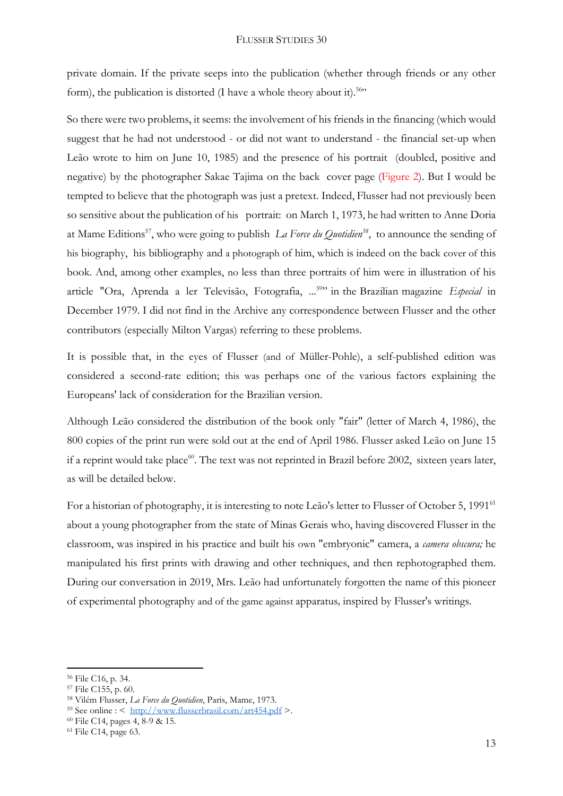private domain. If the private seeps into the publication (whether through friends or any other form), the publication is distorted (I have a whole theory about it).<sup>56</sup>"

So there were two problems, it seems: the involvement of his friends in the financing (which would suggest that he had not understood - or did not want to understand - the financial set-up when Leão wrote to him on June 10, 1985) and the presence of his portrait (doubled, positive and negative) by the photographer Sakae Tajima on the back cover page (Figure 2). But I would be tempted to believe that the photograph was just a pretext. Indeed, Flusser had not previously been so sensitive about the publication of his portrait: on March 1, 1973, he had written to Anne Doria at Mame Editions<sup>57</sup>, who were going to publish *La Force du Quotidien<sup>58</sup>*, to announce the sending of his biography, his bibliography and a photograph of him, which is indeed on the back cover of this book. And, among other examples, no less than three portraits of him were in illustration of his article "Ora, Aprenda a ler Televisão, Fotografia, ... 59 " in the Brazilian magazine *Especial* in December 1979. I did not find in the Archive any correspondence between Flusser and the other contributors (especially Milton Vargas) referring to these problems.

It is possible that, in the eyes of Flusser (and of Müller-Pohle), a self-published edition was considered a second-rate edition; this was perhaps one of the various factors explaining the Europeans' lack of consideration for the Brazilian version.

Although Leão considered the distribution of the book only "fair" (letter of March 4, 1986), the 800 copies of the print run were sold out at the end of April 1986. Flusser asked Leão on June 15 if a reprint would take place<sup>60</sup>. The text was not reprinted in Brazil before 2002, sixteen years later, as will be detailed below.

For a historian of photography, it is interesting to note Leão's letter to Flusser of October 5, 1991<sup>61</sup> about a young photographer from the state of Minas Gerais who, having discovered Flusser in the classroom, was inspired in his practice and built his own "embryonic" camera, a *camera obscura;* he manipulated his first prints with drawing and other techniques, and then rephotographed them. During our conversation in 2019, Mrs. Leão had unfortunately forgotten the name of this pioneer of experimental photography and of the game against apparatus*,* inspired by Flusser's writings.

<sup>56</sup> File C16, p. 34.

<sup>57</sup> File C155, p. 60.

<sup>58</sup> Vilém Flusser, *La Force du Quotidien*, Paris, Mame, 1973.

<sup>59</sup> See online : < <http://www.flusserbrasil.com/art454.pdf> >.

<sup>60</sup> File C14, pages 4, 8-9 & 15.

<sup>61</sup> File C14, page 63.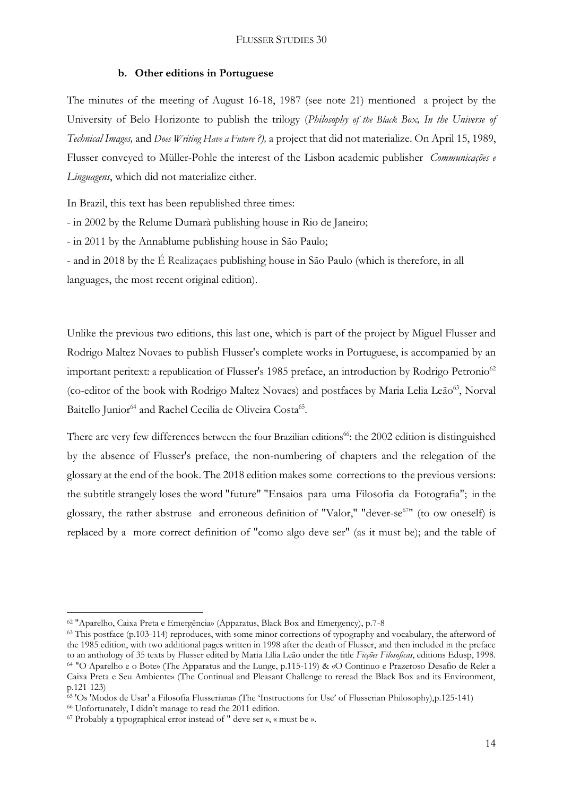#### **b. Other editions in Portuguese**

The minutes of the meeting of August 16-18, 1987 (see note 21) mentioned a project by the University of Belo Horizonte to publish the trilogy (*Philosophy of the Black Box, In the Universe of Technical Images,* and *Does Writing Have a Future ?),* a project that did not materialize. On April 15, 1989, Flusser conveyed to Müller-Pohle the interest of the Lisbon academic publisher *Communicações e Linguagens*, which did not materialize either.

In Brazil, this text has been republished three times:

- in 2002 by the Relume Dumarà publishing house in Rio de Janeiro;

- in 2011 by the Annablume publishing house in São Paulo;

- and in 2018 by the É Realizaçaes publishing house in São Paulo (which is therefore, in all languages, the most recent original edition).

Unlike the previous two editions, this last one, which is part of the project by Miguel Flusser and Rodrigo Maltez Novaes to publish Flusser's complete works in Portuguese, is accompanied by an important peritext: a republication of Flusser's 1985 preface, an introduction by Rodrigo Petronio<sup>62</sup> (co-editor of the book with Rodrigo Maltez Novaes) and postfaces by Maria Lelia Leão <sup>63</sup>, Norval Baitello Junior<sup>64</sup> and Rachel Cecilia de Oliveira Costa<sup>65</sup>.

There are very few differences between the four Brazilian editions<sup>66</sup>: the 2002 edition is distinguished by the absence of Flusser's preface, the non-numbering of chapters and the relegation of the glossary at the end of the book. The 2018 edition makes some corrections to the previous versions: the subtitle strangely loses the word "future" "Ensaios para uma Filosofia da Fotografia"; in the glossary, the rather abstruse and erroneous definition of "Valor," "dever-se<sup>67</sup>" (to ow oneself) is replaced by a more correct definition of "como algo deve ser" (as it must be); and the table of

<sup>62</sup> "Aparelho, Caixa Preta e Emergência» (Apparatus, Black Box and Emergency), p.7-8

<sup>&</sup>lt;sup>63</sup> This postface (p.103-114) reproduces, with some minor corrections of typography and vocabulary, the afterword of the 1985 edition, with two additional pages written in 1998 after the death of Flusser, and then included in the preface to an anthology of 35 texts by Flusser edited by Maria Lília Leão under the title *Ficções Filosoficas*, editions Edusp, 1998. <sup>64</sup> "O Aparelho e o Bote» (The Apparatus and the Lunge, p.115-119) & «O Continuo e Prazeroso Desafio de Reler a Caixa Preta e Seu Ambiente» (The Continual and Pleasant Challenge to reread the Black Box and its Environment, p.121-123)

<sup>65</sup> 'Os 'Modos de Usar' a Filosofia Flusseriana» (The 'Instructions for Use' of Flusserian Philosophy),p.125-141)

<sup>66</sup> Unfortunately, I didn't manage to read the 2011 edition.

<sup>67</sup> Probably a typographical error instead of " deve ser », « must be ».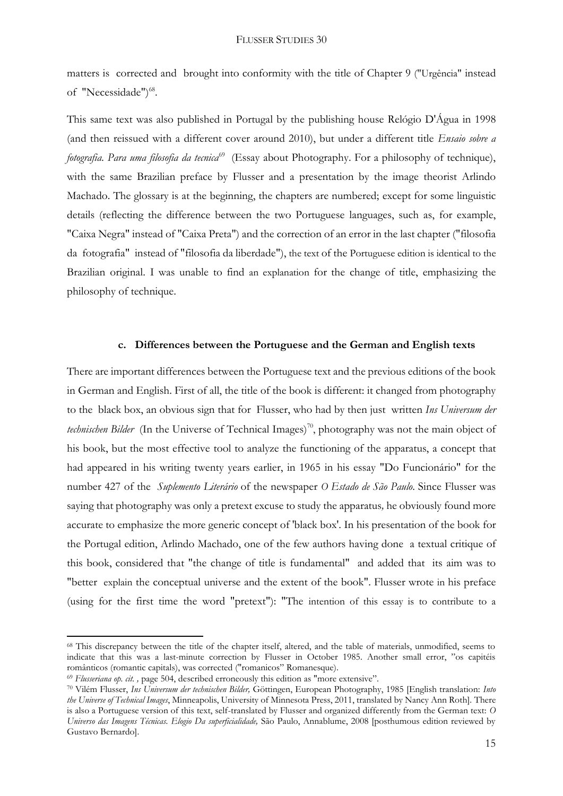matters is corrected and brought into conformity with the title of Chapter 9 ("Urgência" instead of "Necessidade")<sup>68</sup>.

This same text was also published in Portugal by the publishing house Relógio D'Água in 1998 (and then reissued with a different cover around 2010), but under a different title *Ensaio sobre a fotografia. Para uma filosofia da tecnica*<sup>69</sup> (Essay about Photography. For a philosophy of technique), with the same Brazilian preface by Flusser and a presentation by the image theorist Arlindo Machado. The glossary is at the beginning, the chapters are numbered; except for some linguistic details (reflecting the difference between the two Portuguese languages, such as, for example, "Caixa Negra" instead of "Caixa Preta") and the correction of an error in the last chapter ("filosofia da fotografia" instead of "filosofia da liberdade"), the text of the Portuguese edition is identical to the Brazilian original. I was unable to find an explanation for the change of title, emphasizing the philosophy of technique.

#### **c. Differences between the Portuguese and the German and English texts**

There are important differences between the Portuguese text and the previous editions of the book in German and English. First of all, the title of the book is different: it changed from photography to the black box, an obvious sign that for Flusser, who had by then just written *Ins Universum der*  technischen Bilder (In the Universe of Technical Images)<sup>70</sup>, photography was not the main object of his book, but the most effective tool to analyze the functioning of the apparatus, a concept that had appeared in his writing twenty years earlier, in 1965 in his essay "Do Funcionário" for the number 427 of the *Suplemento Literário* of the newspaper *O Estado de São Paulo*. Since Flusser was saying that photography was only a pretext excuse to study the apparatus*,* he obviously found more accurate to emphasize the more generic concept of 'black box'. In his presentation of the book for the Portugal edition, Arlindo Machado, one of the few authors having done a textual critique of this book, considered that "the change of title is fundamental" and added that its aim was to "better explain the conceptual universe and the extent of the book". Flusser wrote in his preface (using for the first time the word "pretext"): "The intention of this essay is to contribute to a

<sup>68</sup> This discrepancy between the title of the chapter itself, altered, and the table of materials, unmodified, seems to indicate that this was a last-minute correction by Flusser in October 1985. Another small error, "os capitéis românticos (romantic capitals), was corrected ("romanicos" Romanesque).

<sup>69</sup> *Flusseriana op. cit. ,* page 504, described erroneously this edition as "more extensive".

<sup>70</sup> Vilém Flusser, *Ins Universum der technischen Bilder,* Göttingen, European Photography, 1985 [English translation: *Into the Universe of Technical Images*, Minneapolis, University of Minnesota Press, 2011, translated by Nancy Ann Roth]. There is also a Portuguese version of this text, self-translated by Flusser and organized differently from the German text: *O Universo das Imagens Técnicas. Elogio Da superficialidade,* São Paulo, Annablume, 2008 [posthumous edition reviewed by Gustavo Bernardo].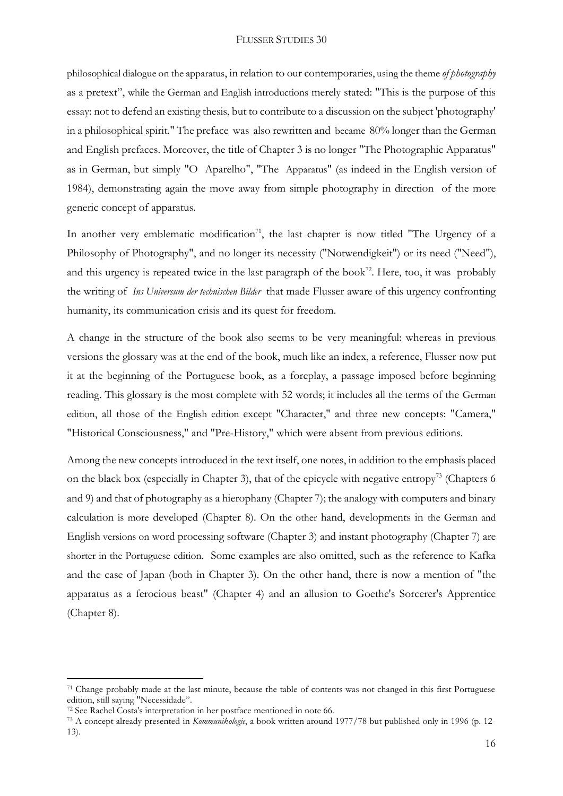philosophical dialogue on the apparatus, in relation to our contemporaries, using the theme *of photography* as a pretext", while the German and English introductions merely stated: "This is the purpose of this essay: not to defend an existing thesis, but to contribute to a discussion on the subject 'photography' in a philosophical spirit." The preface was also rewritten and became 80% longer than the German and English prefaces. Moreover, the title of Chapter 3 is no longer "The Photographic Apparatus" as in German, but simply "O Aparelho", "The Apparatus" (as indeed in the English version of 1984), demonstrating again the move away from simple photography in direction of the more generic concept of apparatus.

In another very emblematic modification<sup>71</sup>, the last chapter is now titled "The Urgency of a Philosophy of Photography", and no longer its necessity ("Notwendigkeit") or its need ("Need"), and this urgency is repeated twice in the last paragraph of the book<sup>72</sup>. Here, too, it was probably the writing of *Ins Universum der technischen Bilder* that made Flusser aware of this urgency confronting humanity, its communication crisis and its quest for freedom.

A change in the structure of the book also seems to be very meaningful: whereas in previous versions the glossary was at the end of the book, much like an index, a reference, Flusser now put it at the beginning of the Portuguese book, as a foreplay, a passage imposed before beginning reading. This glossary is the most complete with 52 words; it includes all the terms of the German edition, all those of the English edition except "Character," and three new concepts: "Camera," "Historical Consciousness," and "Pre-History," which were absent from previous editions.

Among the new concepts introduced in the text itself, one notes, in addition to the emphasis placed on the black box (especially in Chapter 3), that of the epicycle with negative entropy<sup>73</sup> (Chapters 6 and 9) and that of photography as a hierophany (Chapter 7); the analogy with computers and binary calculation is more developed (Chapter 8). On the other hand, developments in the German and English versions on word processing software (Chapter 3) and instant photography (Chapter 7) are shorter in the Portuguese edition. Some examples are also omitted, such as the reference to Kafka and the case of Japan (both in Chapter 3). On the other hand, there is now a mention of "the apparatus as a ferocious beast" (Chapter 4) and an allusion to Goethe's Sorcerer's Apprentice (Chapter 8).

<sup>71</sup> Change probably made at the last minute, because the table of contents was not changed in this first Portuguese edition, still saying "Necessidade".

<sup>72</sup> See Rachel Costa's interpretation in her postface mentioned in note 66.

<sup>73</sup> A concept already presented in *Kommunikologie*, a book written around 1977/78 but published only in 1996 (p. 12- 13).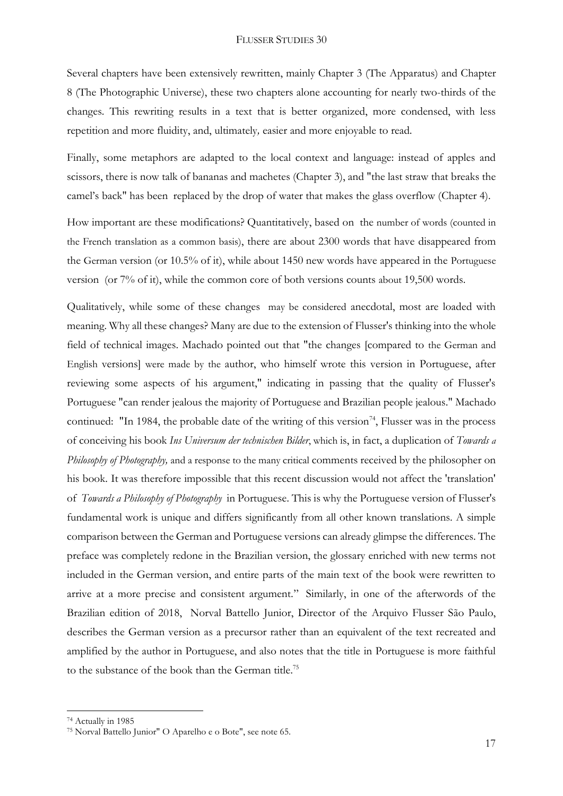Several chapters have been extensively rewritten, mainly Chapter 3 (The Apparatus) and Chapter 8 (The Photographic Universe), these two chapters alone accounting for nearly two-thirds of the changes. This rewriting results in a text that is better organized, more condensed, with less repetition and more fluidity, and, ultimately*,* easier and more enjoyable to read.

Finally, some metaphors are adapted to the local context and language: instead of apples and scissors, there is now talk of bananas and machetes (Chapter 3), and "the last straw that breaks the camel's back" has been replaced by the drop of water that makes the glass overflow (Chapter 4).

How important are these modifications? Quantitatively, based on the number of words (counted in the French translation as a common basis), there are about 2300 words that have disappeared from the German version (or 10.5% of it), while about 1450 new words have appeared in the Portuguese version (or 7% of it), while the common core of both versions counts about 19,500 words.

Qualitatively, while some of these changes may be considered anecdotal, most are loaded with meaning. Why all these changes? Many are due to the extension of Flusser's thinking into the whole field of technical images. Machado pointed out that "the changes [compared to the German and English versions] were made by the author, who himself wrote this version in Portuguese, after reviewing some aspects of his argument," indicating in passing that the quality of Flusser's Portuguese "can render jealous the majority of Portuguese and Brazilian people jealous." Machado continued: "In 1984, the probable date of the writing of this version<sup>74</sup>, Flusser was in the process of conceiving his book *Ins Universum der technischen Bilder*, which is, in fact, a duplication of *Towards a Philosophy of Photography,* and a response to the many critical comments received by the philosopher on his book. It was therefore impossible that this recent discussion would not affect the 'translation' of *Towards a Philosophy of Photography* in Portuguese. This is why the Portuguese version of Flusser's fundamental work is unique and differs significantly from all other known translations. A simple comparison between the German and Portuguese versions can already glimpse the differences. The preface was completely redone in the Brazilian version, the glossary enriched with new terms not included in the German version, and entire parts of the main text of the book were rewritten to arrive at a more precise and consistent argument." Similarly, in one of the afterwords of the Brazilian edition of 2018, Norval Battello Junior, Director of the Arquivo Flusser São Paulo, describes the German version as a precursor rather than an equivalent of the text recreated and amplified by the author in Portuguese, and also notes that the title in Portuguese is more faithful to the substance of the book than the German title.<sup>75</sup>

<sup>74</sup> Actually in 1985

<sup>75</sup> Norval Battello Junior" O Aparelho e o Bote", see note 65.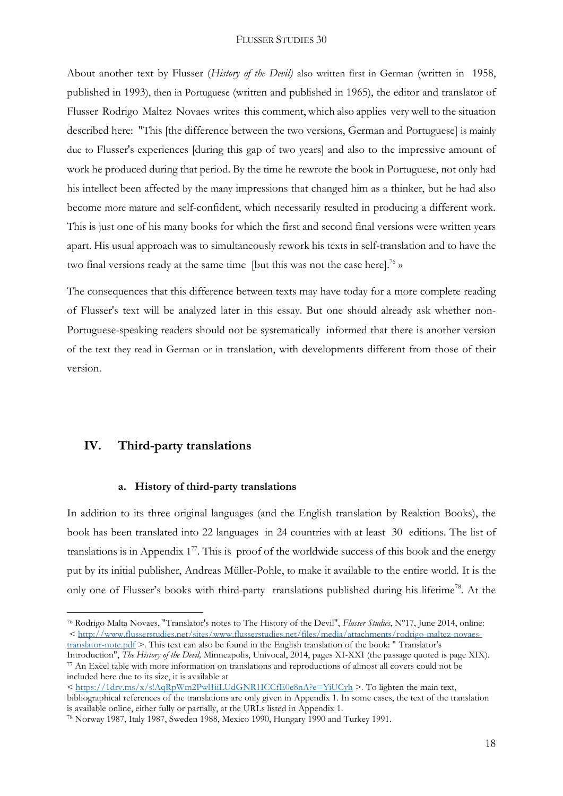About another text by Flusser (*History of the Devil)* also written first in German (written in 1958, published in 1993), then in Portuguese (written and published in 1965), the editor and translator of Flusser Rodrigo Maltez Novaes writes this comment, which also applies very well to the situation described here: "This [the difference between the two versions, German and Portuguese] is mainly due to Flusser's experiences [during this gap of two years] and also to the impressive amount of work he produced during that period. By the time he rewrote the book in Portuguese, not only had his intellect been affected by the many impressions that changed him as a thinker, but he had also become more mature and self-confident, which necessarily resulted in producing a different work. This is just one of his many books for which the first and second final versions were written years apart. His usual approach was to simultaneously rework his texts in self-translation and to have the two final versions ready at the same time [but this was not the case here].<sup>76</sup> »

The consequences that this difference between texts may have today for a more complete reading of Flusser's text will be analyzed later in this essay. But one should already ask whether non-Portuguese-speaking readers should not be systematically informed that there is another version of the text they read in German or in translation, with developments different from those of their version.

## **IV. Third-party translations**

**.** 

#### **a. History of third-party translations**

In addition to its three original languages (and the English translation by Reaktion Books), the book has been translated into 22 languages in 24 countries with at least 30 editions. The list of translations is in Appendix  $1<sup>77</sup>$ . This is proof of the worldwide success of this book and the energy put by its initial publisher, Andreas Müller-Pohle, to make it available to the entire world. It is the only one of Flusser's books with third-party translations published during his lifetime<sup>78</sup>. At the

Introduction", *The History of the Devil,* Minneapolis, Univocal, 2014, pages XI-XXI (the passage quoted is page XIX). <sup>77</sup> An Excel table with more information on translations and reproductions of almost all covers could not be included here due to its size, it is available at

<sup>76</sup> Rodrigo Malta Novaes, "Translator's notes to The History of the Devil", *Flusser Studies*, Nº17, June 2014, online: < [http://www.flusserstudies.net/sites/www.flusserstudies.net/files/media/attachments/rodrigo-maltez-novaes](http://www.flusserstudies.net/sites/www.flusserstudies.net/files/media/attachments/rodrigo-maltez-novaes-translator-note.pdf)[translator-note.pdf](http://www.flusserstudies.net/sites/www.flusserstudies.net/files/media/attachments/rodrigo-maltez-novaes-translator-note.pdf) >. This text can also be found in the English translation of the book: " Translator's

<sup>&</sup>lt;<https://1drv.ms/x/s!AqRpWm2Pwl1iiLUdGNR1ICCfE0e8nA?e=YiUCyh> >. To lighten the main text, bibliographical references of the translations are only given in Appendix 1. In some cases, the text of the translation is available online, either fully or partially, at the URLs listed in Appendix 1.

<sup>78</sup> Norway 1987, Italy 1987, Sweden 1988, Mexico 1990, Hungary 1990 and Turkey 1991.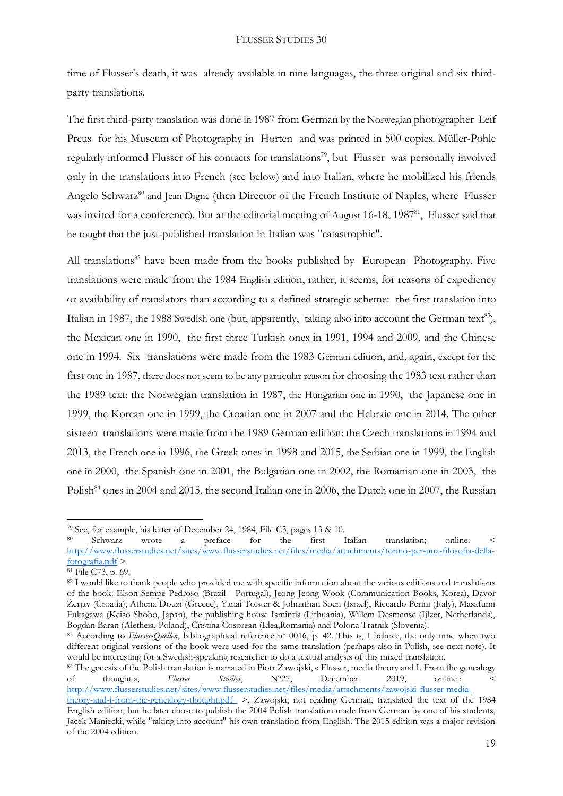time of Flusser's death, it was already available in nine languages, the three original and six thirdparty translations.

The first third-party translation was done in 1987 from German by the Norwegian photographer Leif Preus for his Museum of Photography in Horten and was printed in 500 copies. Müller-Pohle regularly informed Flusser of his contacts for translations<sup>79</sup>, but Flusser was personally involved only in the translations into French (see below) and into Italian, where he mobilized his friends Angelo Schwarz<sup>80</sup> and Jean Digne (then Director of the French Institute of Naples, where Flusser was invited for a conference). But at the editorial meeting of August 16-18, 1987<sup>81</sup>, Flusser said that he tought that the just-published translation in Italian was "catastrophic".

All translations<sup>82</sup> have been made from the books published by European Photography. Five translations were made from the 1984 English edition, rather, it seems, for reasons of expediency or availability of translators than according to a defined strategic scheme: the first translation into Italian in 1987, the 1988 Swedish one (but, apparently, taking also into account the German text<sup>83</sup>), the Mexican one in 1990, the first three Turkish ones in 1991, 1994 and 2009, and the Chinese one in 1994. Six translations were made from the 1983 German edition, and, again, except for the first one in 1987, there does not seem to be any particular reason for choosing the 1983 text rather than the 1989 text: the Norwegian translation in 1987, the Hungarian one in 1990, the Japanese one in 1999, the Korean one in 1999, the Croatian one in 2007 and the Hebraic one in 2014. The other sixteen translations were made from the 1989 German edition: the Czech translations in 1994 and 2013, the French one in 1996, the Greek ones in 1998 and 2015, the Serbian one in 1999, the English one in 2000, the Spanish one in 2001, the Bulgarian one in 2002, the Romanian one in 2003, the Polish<sup>84</sup> ones in 2004 and 2015, the second Italian one in 2006, the Dutch one in 2007, the Russian

<sup>&</sup>lt;sup>79</sup> See, for example, his letter of December 24, 1984, File C3, pages 13 & 10.

<sup>80</sup> Schwarz wrote a preface for the first Italian translation; online: < [http://www.flusserstudies.net/sites/www.flusserstudies.net/files/media/attachments/torino-per-una-filosofia-della](http://www.flusserstudies.net/sites/www.flusserstudies.net/files/media/attachments/torino-per-una-filosofia-della-fotografia.pdf)[fotografia.pdf](http://www.flusserstudies.net/sites/www.flusserstudies.net/files/media/attachments/torino-per-una-filosofia-della-fotografia.pdf) >.

<sup>81</sup> File C73, p. 69.

<sup>82</sup> I would like to thank people who provided me with specific information about the various editions and translations of the book: Elson Sempé Pedroso (Brazil - Portugal), Jeong Jeong Wook (Communication Books, Korea), Davor Žerjav (Croatia), Athena Douzi (Greece), Yanai Toister & Johnathan Soen (Israel), Riccardo Perini (Italy), Masafumi Fukagawa (Keiso Shobo, Japan), the publishing house Ismintis (Lithuania), Willem Desmense (Ijlzer, Netherlands), Bogdan Baran (Aletheia, Poland), Cristina Cosorean (Idea,Romania) and Polona Tratnik (Slovenia).

<sup>&</sup>lt;sup>83</sup> According to *Flusser-Quellen*, bibliographical reference n° 0016, p. 42. This is, I believe, the only time when two different original versions of the book were used for the same translation (perhaps also in Polish, see next note). It would be interesting for a Swedish-speaking researcher to do a textual analysis of this mixed translation.

<sup>84</sup> The genesis of the Polish translation is narrated in Piotr Zawojski, « Flusser, media theory and I. From the genealogy of thought », *Flusser Studies*, Nº27, December 2019, online : < [http://www.flusserstudies.net/sites/www.flusserstudies.net/files/media/attachments/zawojski-flusser-media-](http://www.flusserstudies.net/sites/www.flusserstudies.net/files/media/attachments/zawojski-flusser-media-theory-and-i-from-the-genealogy-thought.pdf)

[theory-and-i-from-the-genealogy-thought.pdf](http://www.flusserstudies.net/sites/www.flusserstudies.net/files/media/attachments/zawojski-flusser-media-theory-and-i-from-the-genealogy-thought.pdf) >. Zawojski, not reading German, translated the text of the 1984 English edition, but he later chose to publish the 2004 Polish translation made from German by one of his students, Jacek Maniecki, while "taking into account" his own translation from English. The 2015 edition was a major revision of the 2004 edition.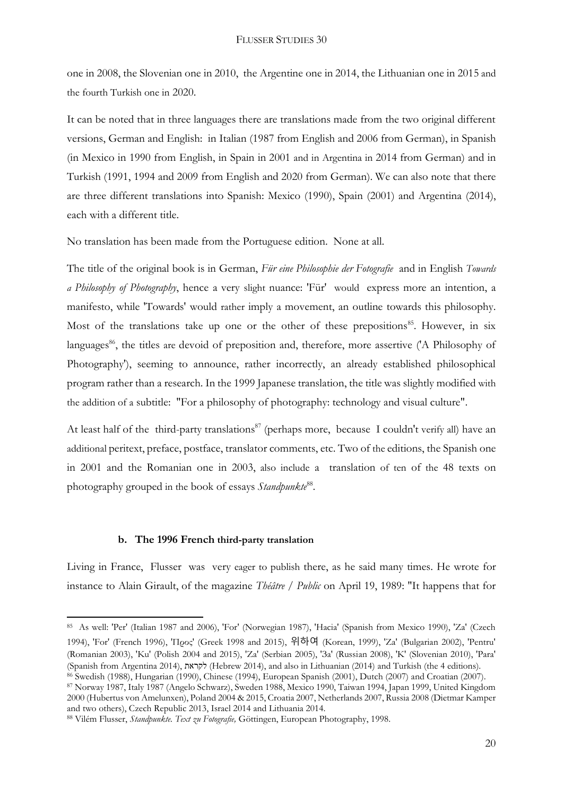one in 2008, the Slovenian one in 2010, the Argentine one in 2014, the Lithuanian one in 2015 and the fourth Turkish one in 2020.

It can be noted that in three languages there are translations made from the two original different versions, German and English: in Italian (1987 from English and 2006 from German), in Spanish (in Mexico in 1990 from English, in Spain in 2001 and in Argentina in 2014 from German) and in Turkish (1991, 1994 and 2009 from English and 2020 from German). We can also note that there are three different translations into Spanish: Mexico (1990), Spain (2001) and Argentina (2014), each with a different title.

No translation has been made from the Portuguese edition. None at all.

The title of the original book is in German, *Für eine Philosophie der Fotografie* and in English *Towards a Philosophy of Photography*, hence a very slight nuance: 'Für' would express more an intention, a manifesto, while 'Towards' would rather imply a movement, an outline towards this philosophy. Most of the translations take up one or the other of these prepositions<sup>85</sup>. However, in six languages<sup>86</sup>, the titles are devoid of preposition and, therefore, more assertive ('A Philosophy of Photography'), seeming to announce, rather incorrectly, an already established philosophical program rather than a research. In the 1999 Japanese translation, the title was slightly modified with the addition of a subtitle: "For a philosophy of photography: technology and visual culture".

At least half of the third-party translations<sup>87</sup> (perhaps more, because I couldn't verify all) have an additional peritext, preface, postface, translator comments, etc. Two of the editions, the Spanish one in 2001 and the Romanian one in 2003, also include a translation of ten of the 48 texts on photography grouped in the book of essays Standpunkte<sup>88</sup>.

#### **b. The 1996 French third-party translation**

1

Living in France, Flusser was very eager to publish there, as he said many times. He wrote for instance to Alain Girault, of the magazine *Théâtre / Public* on April 19, 1989: "It happens that for

<sup>85</sup> As well: 'Per' (Italian 1987 and 2006), 'For' (Norwegian 1987), 'Hacia' (Spanish from Mexico 1990), 'Za' (Czech 1994), 'For' (French 1996), 'Προς' (Greek 1998 and 2015), 위하여 (Korean, 1999), 'Za' (Bulgarian 2002), 'Pentru' (Romanian 2003), 'Ku' (Polish 2004 and 2015), 'Za' (Serbian 2005), 'За' (Russian 2008), 'K' (Slovenian 2010), 'Para' (Spanish from Argentina 2014), לקראת) Hebrew 2014), and also in Lithuanian (2014) and Turkish (the 4 editions). <sup>86</sup> Swedish (1988), Hungarian (1990), Chinese (1994), European Spanish (2001), Dutch (2007) and Croatian (2007).

<sup>87</sup> Norway 1987, Italy 1987 (Angelo Schwarz), Sweden 1988, Mexico 1990, Taiwan 1994, Japan 1999, United Kingdom 2000 (Hubertus von Amelunxen), Poland 2004 & 2015, Croatia 2007, Netherlands 2007, Russia 2008 (Dietmar Kamper and two others), Czech Republic 2013, Israel 2014 and Lithuania 2014.

<sup>88</sup> Vilém Flusser, *Standpunkte. Text zu Fotografie,* Göttingen, European Photography, 1998.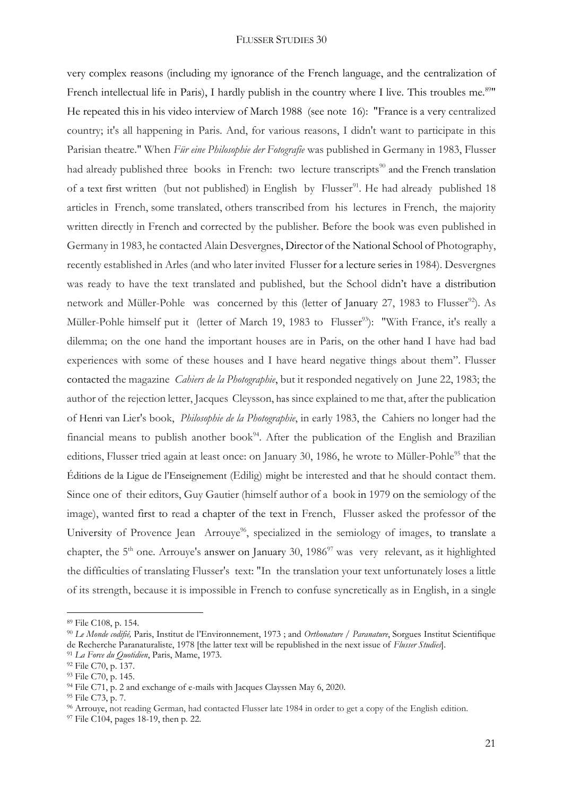very complex reasons (including my ignorance of the French language, and the centralization of French intellectual life in Paris), I hardly publish in the country where I live. This troubles me.<sup>89</sup>" He repeated this in his video interview of March 1988 (see note 16): "France is a very centralized country; it's all happening in Paris. And, for various reasons, I didn't want to participate in this Parisian theatre." When *Für eine Philosophie der Fotografie* was published in Germany in 1983, Flusser had already published three books in French: two lecture transcripts<sup>90</sup> and the French translation of a text first written (but not published) in English by Flusser<sup>91</sup>. He had already published 18 articles in French, some translated, others transcribed from his lectures in French, the majority written directly in French and corrected by the publisher. Before the book was even published in Germany in 1983, he contacted Alain Desvergnes, Director of the National School of Photography, recently established in Arles (and who later invited Flusser for a lecture series in 1984). Desvergnes was ready to have the text translated and published, but the School didn't have a distribution network and Müller-Pohle was concerned by this (letter of January 27, 1983 to Flusser<sup>92</sup>). As Müller-Pohle himself put it (letter of March 19, 1983 to Flusser<sup>93</sup>): "With France, it's really a dilemma; on the one hand the important houses are in Paris, on the other hand I have had bad experiences with some of these houses and I have heard negative things about them". Flusser contacted the magazine *Cahiers de la Photographie*, but it responded negatively on June 22, 1983; the author of the rejection letter, Jacques Cleysson, has since explained to me that, after the publication of Henri van Lier's book, *Philosophie de la Photographie*, in early 1983, the Cahiers no longer had the financial means to publish another book<sup>94</sup>. After the publication of the English and Brazilian editions, Flusser tried again at least once: on January 30, 1986, he wrote to Müller-Pohle<sup>95</sup> that the Éditions de la Ligue de l'Enseignement (Edilig) might be interested and that he should contact them. Since one of their editors, Guy Gautier (himself author of a book in 1979 on the semiology of the image), wanted first to read a chapter of the text in French, Flusser asked the professor of the University of Provence Jean Arrouye<sup>96</sup>, specialized in the semiology of images, to translate a chapter, the  $5<sup>th</sup>$  one. Arrouye's answer on January 30, 1986<sup>97</sup> was very relevant, as it highlighted the difficulties of translating Flusser's text: "In the translation your text unfortunately loses a little of its strength, because it is impossible in French to confuse syncretically as in English, in a single

<sup>89</sup> File C108, p. 154.

<sup>90</sup> *Le Monde codifié,* Paris, Institut de l'Environnement, 1973 ; and *Orthonature / Paranature*, Sorgues Institut Scientifique de Recherche Paranaturaliste, 1978 [the latter text will be republished in the next issue of *Flusser Studies*].

<sup>91</sup> *La Force du Quotidien*, Paris, Mame, 1973.

<sup>92</sup> File C70, p. 137.

<sup>93</sup> File C70, p. 145.

<sup>&</sup>lt;sup>94</sup> File C71, p. 2 and exchange of e-mails with Jacques Clayssen May 6, 2020.

<sup>95</sup> File C73, p. 7.

<sup>96</sup> Arrouye, not reading German, had contacted Flusser late 1984 in order to get a copy of the English edition.

<sup>97</sup> File C104, pages 18-19, then p. 22.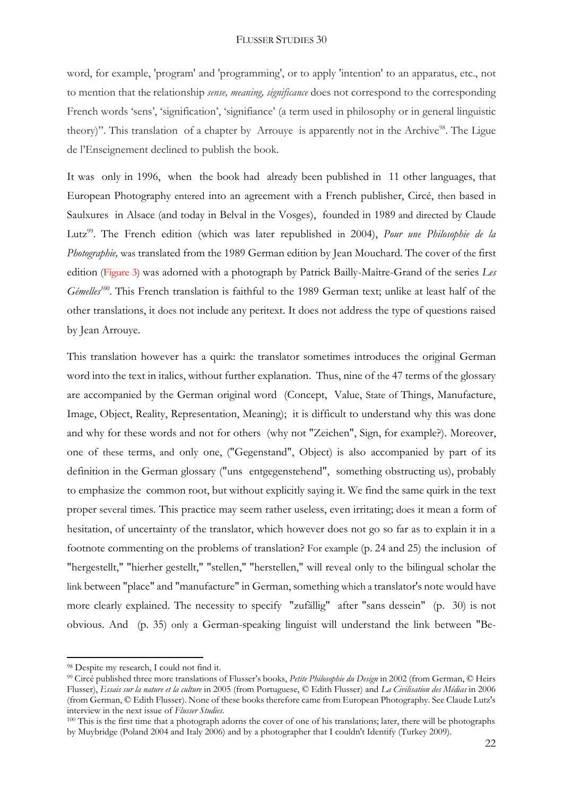word, for example, 'program' and 'programming', or to apply 'intention' to an apparatus, etc., not to mention that the relationship *sense, meaning, significance* does not correspond to the corresponding French words 'sens', 'signification', 'signifiance' (a term used in philosophy or in general linguistic theory)". This translation of a chapter by Arrouye is apparently not in the Archive<sup>98</sup>. The Ligue de l'Enseignement declined to publish the book.

It was only in 1996, when the book had already been published in 11 other languages, that European Photography entered into an agreement with a French publisher, Circé, then based in Saulxures in Alsace (and today in Belval in the Vosges), founded in 1989 and directed by Claude Lutz<sup>99</sup>. The French edition (which was later republished in 2004), *Pour une Philosophie de la Photographie,* was translated from the 1989 German edition by Jean Mouchard. The cover of the first edition (Figure 3) was adorned with a photograph by Patrick Bailly-Maître-Grand of the series *Les Gémelles<sup>100</sup>* . This French translation is faithful to the 1989 German text; unlike at least half of the other translations, it does not include any peritext. It does not address the type of questions raised by Jean Arrouye.

This translation however has a quirk: the translator sometimes introduces the original German word into the text in italics, without further explanation. Thus, nine of the 47 terms of the glossary are accompanied by the German original word (Concept, Value, State of Things, Manufacture, Image, Object, Reality, Representation, Meaning); it is difficult to understand why this was done and why for these words and not for others (why not "Zeichen", Sign, for example?). Moreover, one of these terms, and only one, ("Gegenstand", Object) is also accompanied by part of its definition in the German glossary ("uns entgegenstehend", something obstructing us), probably to emphasize the common root, but without explicitly saying it. We find the same quirk in the text proper several times. This practice may seem rather useless, even irritating; does it mean a form of hesitation, of uncertainty of the translator, which however does not go so far as to explain it in a footnote commenting on the problems of translation? For example (p. 24 and 25) the inclusion of "hergestellt," "hierher gestellt," "stellen," "herstellen," will reveal only to the bilingual scholar the link between "place" and "manufacture" in German, something which a translator's note would have more clearly explained. The necessity to specify "zufällig" after "sans dessein" (p. 30) is not obvious. And (p. 35) only a German-speaking linguist will understand the link between "Be-

<sup>98</sup> Despite my research, I could not find it.

<sup>99</sup> Circé published three more translations of Flusser's books, *Petite Philosophie du Design* in 2002 (from German, © Heirs Flusser), *Essais sur la nature et la culture* in 2005 (from Portuguese, © Edith Flusser) and *La Civilisation des Médias* in 2006 (from German, © Edith Flusser). None of these books therefore came from European Photography. See Claude Lutz's interview in the next issue of *Flusser Studies*.

<sup>&</sup>lt;sup>100</sup> This is the first time that a photograph adorns the cover of one of his translations; later, there will be photographs by Muybridge (Poland 2004 and Italy 2006) and by a photographer that I couldn't Identify (Turkey 2009).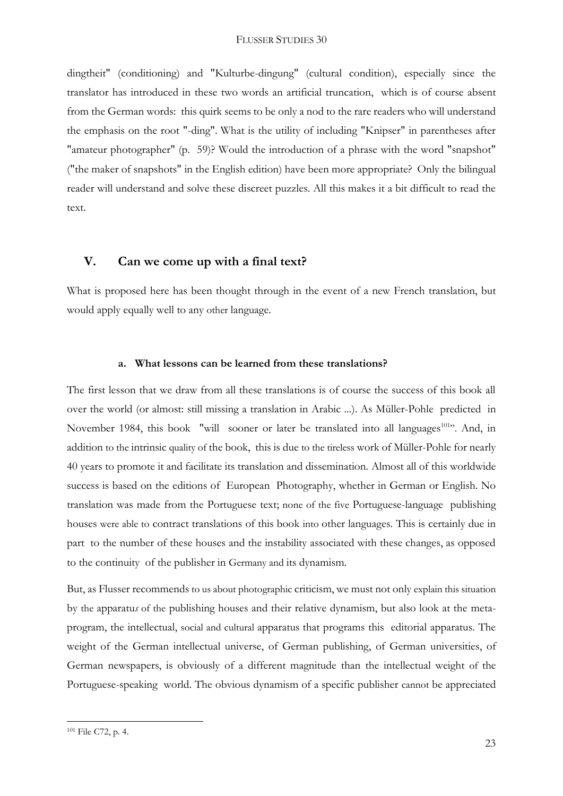dingtheit" (conditioning) and "Kulturbe-dingung" (cultural condition), especially since the translator has introduced in these two words an artificial truncation, which is of course absent from the German words: this quirk seems to be only a nod to the rare readers who will understand the emphasis on the root "-ding". What is the utility of including "Knipser" in parentheses after "amateur photographer" (p. 59)? Would the introduction of a phrase with the word "snapshot" ("the maker of snapshots" in the English edition) have been more appropriate? Only the bilingual reader will understand and solve these discreet puzzles. All this makes it a bit difficult to read the text.

## **V. Can we come up with a final text?**

What is proposed here has been thought through in the event of a new French translation, but would apply equally well to any other language.

#### **a. What lessons can be learned from these translations?**

The first lesson that we draw from all these translations is of course the success of this book all over the world (or almost: still missing a translation in Arabic ...). As Müller-Pohle predicted in November 1984, this book "will sooner or later be translated into all languages<sup>101</sup>". And, in addition to the intrinsic quality of the book, this is due to the tireless work of Müller-Pohle for nearly 40 years to promote it and facilitate its translation and dissemination. Almost all of this worldwide success is based on the editions of European Photography, whether in German or English. No translation was made from the Portuguese text; none of the five Portuguese-language publishing houses were able to contract translations of this book into other languages. This is certainly due in part to the number of these houses and the instability associated with these changes, as opposed to the continuity of the publisher in Germany and its dynamism.

But, as Flusser recommends to us about photographic criticism, we must not only explain this situation by the apparatu*s* of the publishing houses and their relative dynamism, but also look at the metaprogram, the intellectual, social and cultural apparatus that programs this editorial apparatus. The weight of the German intellectual universe, of German publishing, of German universities, of German newspapers, is obviously of a different magnitude than the intellectual weight of the Portuguese-speaking world. The obvious dynamism of a specific publisher cannot be appreciated

<sup>101</sup> File C72, p. 4.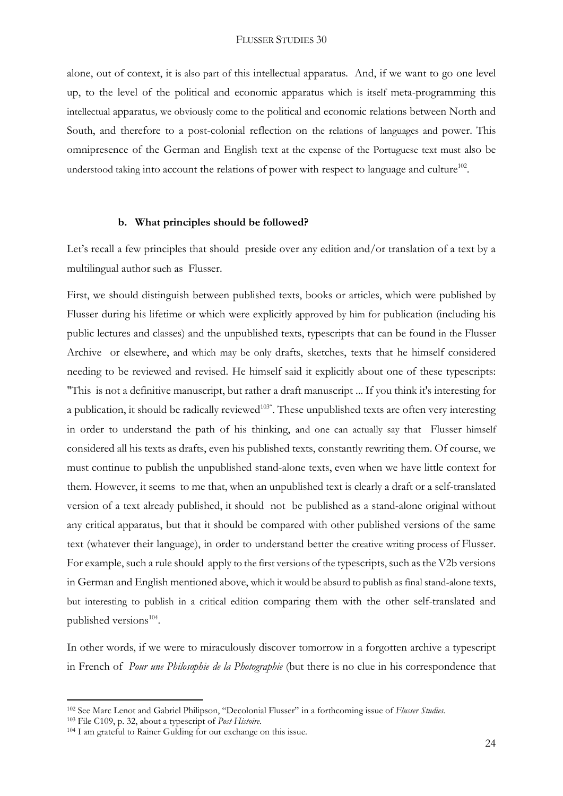alone, out of context, it is also part of this intellectual apparatus*.* And, if we want to go one level up, to the level of the political and economic apparatus which is itself meta-programming this intellectual apparatus*,* we obviously come to the political and economic relations between North and South, and therefore to a post-colonial reflection on the relations of languages and power. This omnipresence of the German and English text at the expense of the Portuguese text must also be understood taking into account the relations of power with respect to language and culture<sup>102</sup>.

#### **b. What principles should be followed?**

Let's recall a few principles that should preside over any edition and/or translation of a text by a multilingual author such as Flusser.

First, we should distinguish between published texts, books or articles, which were published by Flusser during his lifetime or which were explicitly approved by him for publication (including his public lectures and classes) and the unpublished texts, typescripts that can be found in the Flusser Archive or elsewhere, and which may be only drafts, sketches, texts that he himself considered needing to be reviewed and revised. He himself said it explicitly about one of these typescripts: "This is not a definitive manuscript, but rather a draft manuscript ... If you think it's interesting for a publication, it should be radically reviewed<sup>103"</sup>. These unpublished texts are often very interesting in order to understand the path of his thinking, and one can actually say that Flusser himself considered all his texts as drafts, even his published texts, constantly rewriting them. Of course, we must continue to publish the unpublished stand-alone texts, even when we have little context for them. However, it seems to me that, when an unpublished text is clearly a draft or a self-translated version of a text already published, it should not be published as a stand-alone original without any critical apparatus, but that it should be compared with other published versions of the same text (whatever their language), in order to understand better the creative writing process of Flusser. For example, such a rule should apply to the first versions of the typescripts, such as the V2b versions in German and English mentioned above, which it would be absurd to publish as final stand-alone texts, but interesting to publish in a critical edition comparing them with the other self-translated and published versions<sup>104</sup>.

In other words, if we were to miraculously discover tomorrow in a forgotten archive a typescript in French of *Pour une Philosophie de la Photographie* (but there is no clue in his correspondence that

<sup>102</sup> See Marc Lenot and Gabriel Philipson, "Decolonial Flusser" in a forthcoming issue of *Flusser Studies*. <sup>103</sup> File C109, p. 32, about a typescript of *Post-Histoire*.

<sup>104</sup> I am grateful to Rainer Gulding for our exchange on this issue.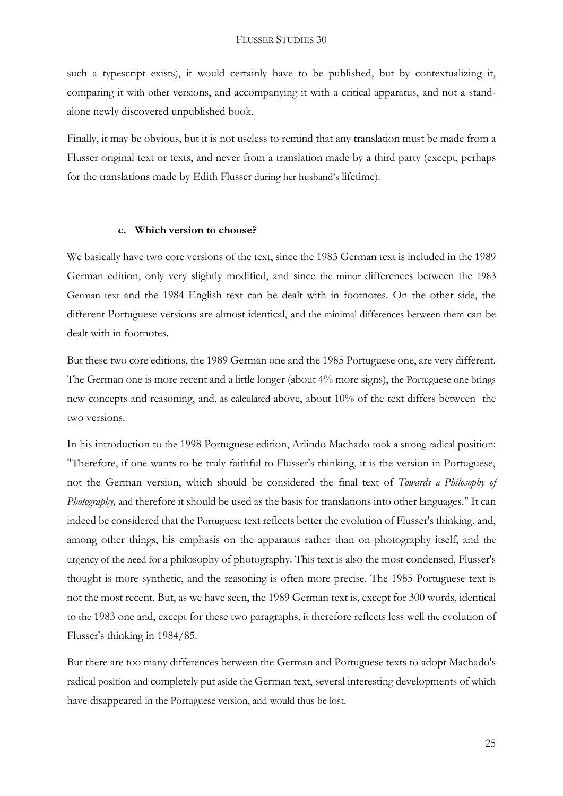such a typescript exists), it would certainly have to be published, but by contextualizing it, comparing it with other versions, and accompanying it with a critical apparatus, and not a standalone newly discovered unpublished book.

Finally, it may be obvious, but it is not useless to remind that any translation must be made from a Flusser original text or texts, and never from a translation made by a third party (except, perhaps for the translations made by Edith Flusser during her husband's lifetime).

#### **c. Which version to choose?**

We basically have two core versions of the text, since the 1983 German text is included in the 1989 German edition, only very slightly modified, and since the minor differences between the 1983 German text and the 1984 English text can be dealt with in footnotes. On the other side, the different Portuguese versions are almost identical, and the minimal differences between them can be dealt with in footnotes.

But these two core editions, the 1989 German one and the 1985 Portuguese one, are very different. The German one is more recent and a little longer (about 4% more signs), the Portuguese one brings new concepts and reasoning, and, as calculated above, about 10% of the text differs between the two versions.

In his introduction to the 1998 Portuguese edition, Arlindo Machado took a strong radical position: "Therefore, if one wants to be truly faithful to Flusser's thinking, it is the version in Portuguese, not the German version, which should be considered the final text of *Towards a Philosophy of Photography,* and therefore it should be used as the basis for translations into other languages." It can indeed be considered that the Portuguese text reflects better the evolution of Flusser's thinking, and, among other things, his emphasis on the apparatus rather than on photography itself, and the urgency of the need for a philosophy of photography. This text is also the most condensed, Flusser's thought is more synthetic, and the reasoning is often more precise. The 1985 Portuguese text is not the most recent. But, as we have seen, the 1989 German text is, except for 300 words, identical to the 1983 one and, except for these two paragraphs, it therefore reflects less well the evolution of Flusser's thinking in 1984/85.

But there are too many differences between the German and Portuguese texts to adopt Machado's radical position and completely put aside the German text, several interesting developments of which have disappeared in the Portuguese version, and would thus be lost.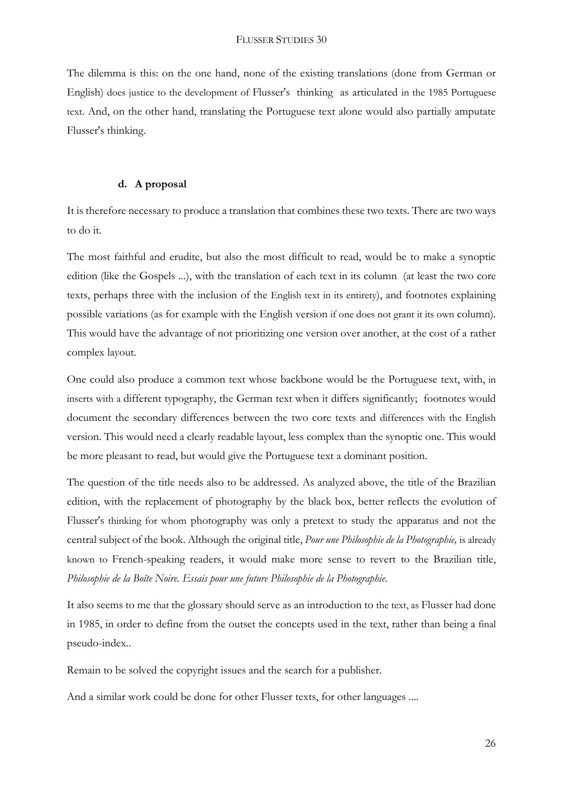The dilemma is this: on the one hand, none of the existing translations (done from German or English) does justice to the development of Flusser's thinking as articulated in the 1985 Portuguese text. And, on the other hand, translating the Portuguese text alone would also partially amputate Flusser's thinking.

#### **d. A proposal**

It is therefore necessary to produce a translation that combines these two texts. There are two ways to do it.

The most faithful and erudite, but also the most difficult to read, would be to make a synoptic edition (like the Gospels ...), with the translation of each text in its column (at least the two core texts, perhaps three with the inclusion of the English text in its entirety), and footnotes explaining possible variations (as for example with the English version if one does not grant it its own column). This would have the advantage of not prioritizing one version over another, at the cost of a rather complex layout.

One could also produce a common text whose backbone would be the Portuguese text, with, in inserts with a different typography, the German text when it differs significantly; footnotes would document the secondary differences between the two core texts and differences with the English version. This would need a clearly readable layout, less complex than the synoptic one. This would be more pleasant to read, but would give the Portuguese text a dominant position.

The question of the title needs also to be addressed. As analyzed above, the title of the Brazilian edition, with the replacement of photography by the black box, better reflects the evolution of Flusser's thinking for whom photography was only a pretext to study the apparatus and not the central subject of the book. Although the original title, *Pour une Philosophie de la Photographie,* is already known to French-speaking readers, it would make more sense to revert to the Brazilian title, *Philosophie de la Boîte Noire. Essais pour une future Philosophie de la Photographie*.

It also seems to me that the glossary should serve as an introduction to the text, as Flusser had done in 1985, in order to define from the outset the concepts used in the text, rather than being a final pseudo-index..

Remain to be solved the copyright issues and the search for a publisher.

And a similar work could be done for other Flusser texts, for other languages ....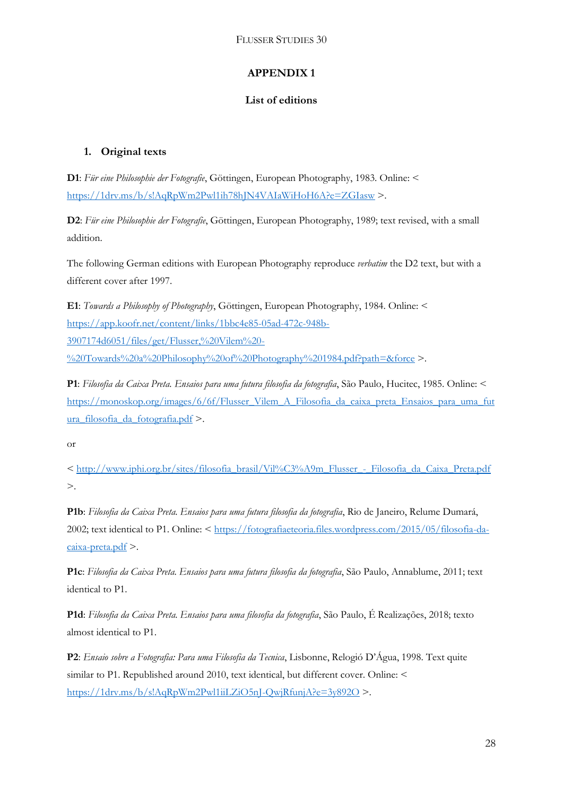## **APPENDIX 1**

## **List of editions**

## **1. Original texts**

**D1**: *Für eine Philosophie der Fotografie*, Göttingen, European Photography, 1983. Online: < <https://1drv.ms/b/s!AqRpWm2Pwl1ih78hJN4VAIaWiHoH6A?e=ZGIasw> >.

**D2**: *Für eine Philosophie der Fotografie*, Göttingen, European Photography, 1989; text revised, with a small addition.

The following German editions with European Photography reproduce *verbatim* the D2 text, but with a different cover after 1997.

**E1**: *Towards a Philosophy of Photography*, Göttingen, European Photography, 1984. Online: < [https://app.koofr.net/content/links/1bbc4e85-05ad-472c-948b-](https://app.koofr.net/content/links/1bbc4e85-05ad-472c-948b-3907174d6051/files/get/Flusser,%20Vilem%20-%20Towards%20a%20Philosophy%20of%20Photography%201984.pdf?path=&force)[3907174d6051/files/get/Flusser,%20Vilem%20-](https://app.koofr.net/content/links/1bbc4e85-05ad-472c-948b-3907174d6051/files/get/Flusser,%20Vilem%20-%20Towards%20a%20Philosophy%20of%20Photography%201984.pdf?path=&force)

[%20Towards%20a%20Philosophy%20of%20Photography%201984.pdf?path=&force](https://app.koofr.net/content/links/1bbc4e85-05ad-472c-948b-3907174d6051/files/get/Flusser,%20Vilem%20-%20Towards%20a%20Philosophy%20of%20Photography%201984.pdf?path=&force) >.

**P1**: *Filosofia da Caixa Preta. Ensaios para uma futura filosofia da fotografia*, São Paulo, Hucitec, 1985. Online: < [https://monoskop.org/images/6/6f/Flusser\\_Vilem\\_A\\_Filosofia\\_da\\_caixa\\_preta\\_Ensaios\\_para\\_uma\\_fut](https://monoskop.org/images/6/6f/Flusser_Vilem_A_Filosofia_da_caixa_preta_Ensaios_para_uma_futura_filosofia_da_fotografia.pdf) [ura\\_filosofia\\_da\\_fotografia.pdf](https://monoskop.org/images/6/6f/Flusser_Vilem_A_Filosofia_da_caixa_preta_Ensaios_para_uma_futura_filosofia_da_fotografia.pdf) >.

or

< [http://www.iphi.org.br/sites/filosofia\\_brasil/Vil%C3%A9m\\_Flusser\\_-\\_Filosofia\\_da\\_Caixa\\_Preta.pdf](http://www.iphi.org.br/sites/filosofia_brasil/Vil%C3%A9m_Flusser_-_Filosofia_da_Caixa_Preta.pdf) >.

**P1b**: *Filosofia da Caixa Preta. Ensaios para uma futura filosofia da fotografia*, Rio de Janeiro, Relume Dumará, 2002; text identical to P1. Online: < [https://fotografiaeteoria.files.wordpress.com/2015/05/filosofia-da](https://fotografiaeteoria.files.wordpress.com/2015/05/filosofia-da-caixa-preta.pdf) $caixa-preta.pdf$  >.

**P1c**: *Filosofia da Caixa Preta. Ensaios para uma futura filosofia da fotografia*, São Paulo, Annablume, 2011; text identical to P1.

**P1d**: *Filosofia da Caixa Preta. Ensaios para uma filosofia da fotografia*, São Paulo, É Realizações, 2018; texto almost identical to P1.

**P2**: *Ensaio sobre a Fotografia: Para uma Filosofia da Tecnica*, Lisbonne, Relogió D'Água, 1998. Text quite similar to P1. Republished around 2010, text identical, but different cover. Online: < <https://1drv.ms/b/s!AqRpWm2Pwl1iiLZiO5nJ-QwjRfunjA?e=3y892O> >.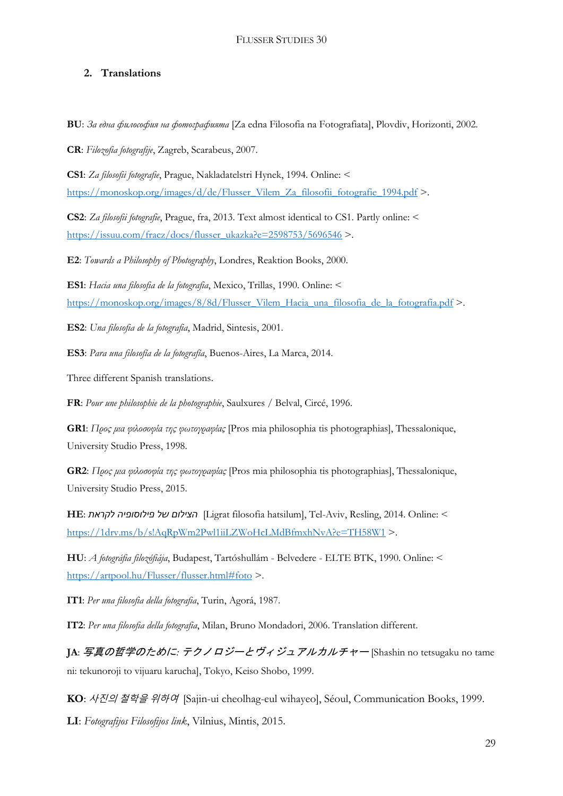## **2. Translations**

**BU**: *За една философия на фотографията* [Za edna Filosofia na Fotografiata], Plovdiv, Horizonti, 2002.

**CR**: *Filozofia fotografije*, Zagreb, Scarabeus, 2007.

**CS1**: *Za filosofii fotografie*, Prague, Nakladatelstri Hynek, 1994. Online: < [https://monoskop.org/images/d/de/Flusser\\_Vilem\\_Za\\_filosofii\\_fotografie\\_1994.pdf](https://monoskop.org/images/d/de/Flusser_Vilem_Za_filosofii_fotografie_1994.pdf) >.

**CS2**: *Za filosofii fotografie*, Prague, fra, 2013. Text almost identical to CS1. Partly online: < [https://issuu.com/fracz/docs/flusser\\_ukazka?e=2598753/5696546](https://issuu.com/fracz/docs/flusser_ukazka?e=2598753/5696546) >.

**E2**: *Towards a Philosophy of Photography*, Londres, Reaktion Books, 2000.

**ES1**: *Hacia una filosofia de la fotografia*, Mexico, Trillas, 1990. Online: < [https://monoskop.org/images/8/8d/Flusser\\_Vilem\\_Hacia\\_una\\_filosofia\\_de\\_la\\_fotografia.pdf](https://monoskop.org/images/8/8d/Flusser_Vilem_Hacia_una_filosofia_de_la_fotografia.pdf) >.

**ES2**: *Una filosofia de la fotografia*, Madrid, Sintesis, 2001.

**ES3**: *Para una filosofía de la fotografía*, Buenos-Aires, La Marca, 2014.

Three different Spanish translations.

**FR**: *Pour une philosophie de la photographie*, Saulxures / Belval, Circé, 1996.

**GR1**: *Προς μια φιλοσοφία της φωτογραφίας* [Pros mia philosophia tis photographias], Thessalonique, University Studio Press, 1998.

**GR2**: *Προς μια φιλοσοφία της φωτογραφίας* [Pros mia philosophia tis photographias], Thessalonique, University Studio Press, 2015.

**HE**: *לקראת פילוסופיה של הצילום*]Ligrat filosofia hatsilum], Tel-Aviv, Resling, 2014. Online: < <https://1drv.ms/b/s!AqRpWm2Pwl1iiLZWoHcLMdBfmxhNvA?e=TH58W1> >.

**HU**: *A fotográfia filozófiája*, Budapest, Tartóshullám - Belvedere - ELTE BTK, 1990. Online: < <https://artpool.hu/Flusser/flusser.html#foto> >.

**IT1**: *Per una filosofia della fotografia*, Turin, Agorá, 1987.

**IT2**: *Per una filosofia della fotografia*, Milan, Bruno Mondadori, 2006. Translation different.

**JA**: 写真の哲学のために*:* テクノロジーとヴィジュアルカルチャー [Shashin no tetsugaku no tame ni: tekunoroji to vijuaru karucha], Tokyo, Keiso Shobo, 1999.

**KO**: 사진의 철학을 위하여[Sajin-ui cheolhag-eul wihayeo], Séoul, Communication Books, 1999.

**LI**: *Fotografijos Filosofijos link*, Vilnius, Mintis, 2015.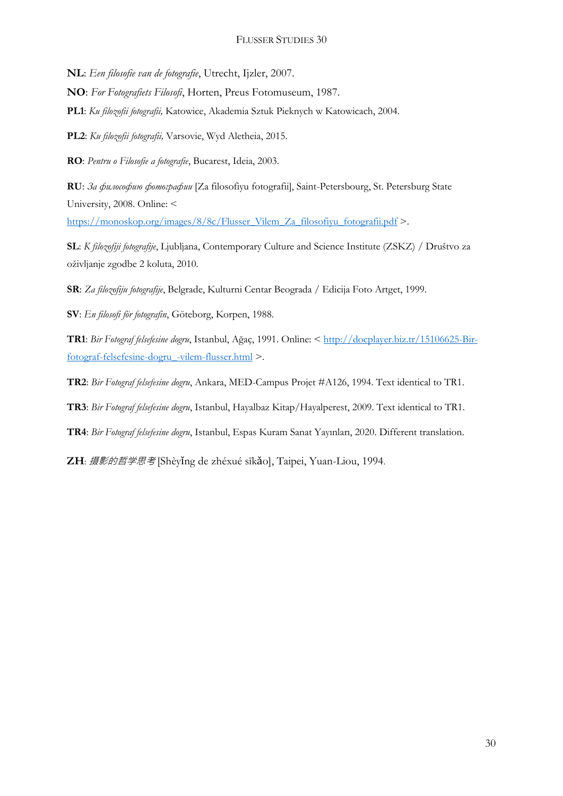**NL**: *Een filosofie van de fotografie*, Utrecht, Ijzler, 2007.

**NO**: *For Fotografiets Filosofi*, Horten, Preus Fotomuseum, 1987.

**PL1**: *Ku filozofii fotografii,* Katowice, Akademia Sztuk Pieknych w Katowicach, 2004.

**PL2**: *Ku filozofii fotografii,* Varsovie, Wyd Aletheia, 2015.

**RO**: *Pentru o Filosofie a fotografie*, Bucarest, Ideia, 2003.

**RU**: *За философию фотографии* [Za filosofiyu fotografii], Saint-Petersbourg, St. Petersburg State University, 2008. Online: <

[https://monoskop.org/images/8/8c/Flusser\\_Vilem\\_Za\\_filosofiyu\\_fotografii.pdf](https://monoskop.org/images/8/8c/Flusser_Vilem_Za_filosofiyu_fotografii.pdf) >.

**SL**: *K filozofiji fotografije*, Ljubljana, Contemporary Culture and Science Institute (ZSKZ) / Društvo za oživljanje zgodbe 2 koluta, 2010.

**SR**: *Za filozofiju fotografije*, Belgrade, Kulturni Centar Beograda / Edicija Foto Artget, 1999.

**SV**: *En filosofi för fotografin*, Göteborg, Korpen, 1988.

**TR1**: *Bir Fotograf felsefesine dogru*, Istanbul, Ağaç, 1991. Online: < [http://docplayer.biz.tr/15106625-Bir](http://docplayer.biz.tr/15106625-Bir-fotograf-felsefesine-dogru_-vilem-flusser.html)[fotograf-felsefesine-dogru\\_-vilem-flusser.html](http://docplayer.biz.tr/15106625-Bir-fotograf-felsefesine-dogru_-vilem-flusser.html) >.

**TR2**: *Bir Fotograf felsefesine dogru*, Ankara, MED-Campus Projet #A126, 1994. Text identical to TR1.

**TR3**: *Bir Fotograf felsefesine dogru*, Istanbul, Hayalbaz Kitap/Hayalperest, 2009. Text identical to TR1.

**TR4**: *Bir Fotograf felsefesine dogru*, Istanbul, Espas Kuram Sanat Yayınları, 2020. Different translation.

**ZH**: 摄影的哲学思考 [Shèyǐng de zhéxué sīkǎo], Taipei, Yuan-Liou, 1994.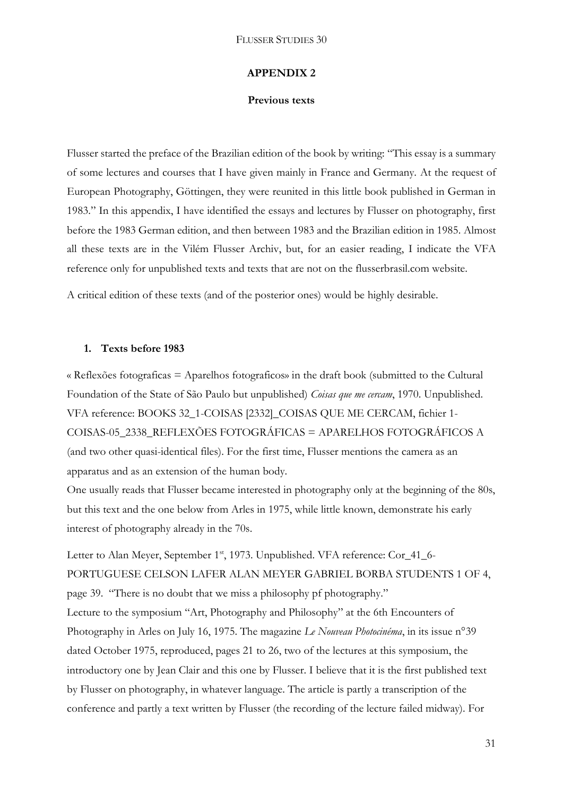#### **APPENDIX 2**

#### **Previous texts**

Flusser started the preface of the Brazilian edition of the book by writing: "This essay is a summary of some lectures and courses that I have given mainly in France and Germany. At the request of European Photography, Göttingen, they were reunited in this little book published in German in 1983." In this appendix, I have identified the essays and lectures by Flusser on photography, first before the 1983 German edition, and then between 1983 and the Brazilian edition in 1985. Almost all these texts are in the Vilém Flusser Archiv, but, for an easier reading, I indicate the VFA reference only for unpublished texts and texts that are not on the flusserbrasil.com website.

A critical edition of these texts (and of the posterior ones) would be highly desirable.

#### **1. Texts before 1983**

« Reflexões fotograficas = Aparelhos fotograficos» in the draft book (submitted to the Cultural Foundation of the State of São Paulo but unpublished) *Coisas que me cercam*, 1970. Unpublished. VFA reference: BOOKS 32\_1-COISAS [2332]\_COISAS QUE ME CERCAM, fichier 1- COISAS-05\_2338\_REFLEXÕES FOTOGRÁFICAS = APARELHOS FOTOGRÁFICOS A (and two other quasi-identical files). For the first time, Flusser mentions the camera as an apparatus and as an extension of the human body.

One usually reads that Flusser became interested in photography only at the beginning of the 80s, but this text and the one below from Arles in 1975, while little known, demonstrate his early interest of photography already in the 70s.

Letter to Alan Meyer, September 1<sup>st</sup>, 1973. Unpublished. VFA reference: Cor\_41\_6-PORTUGUESE CELSON LAFER ALAN MEYER GABRIEL BORBA STUDENTS 1 OF 4, page 39. "There is no doubt that we miss a philosophy pf photography." Lecture to the symposium "Art, Photography and Philosophy" at the 6th Encounters of Photography in Arles on July 16, 1975. The magazine *Le Nouveau Photocinéma*, in its issue n°39 dated October 1975, reproduced, pages 21 to 26, two of the lectures at this symposium, the introductory one by Jean Clair and this one by Flusser. I believe that it is the first published text by Flusser on photography, in whatever language. The article is partly a transcription of the conference and partly a text written by Flusser (the recording of the lecture failed midway). For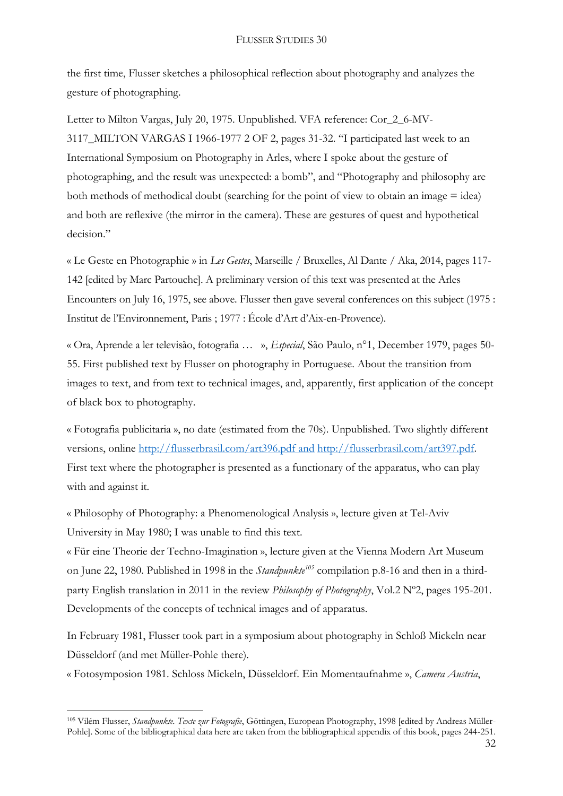the first time, Flusser sketches a philosophical reflection about photography and analyzes the gesture of photographing.

Letter to Milton Vargas, July 20, 1975. Unpublished. VFA reference: Cor\_2\_6-MV-3117\_MILTON VARGAS I 1966-1977 2 OF 2, pages 31-32. "I participated last week to an International Symposium on Photography in Arles, where I spoke about the gesture of photographing, and the result was unexpected: a bomb", and "Photography and philosophy are both methods of methodical doubt (searching for the point of view to obtain an image  $=$  idea) and both are reflexive (the mirror in the camera). These are gestures of quest and hypothetical decision."

« Le Geste en Photographie » in *Les Gestes*, Marseille / Bruxelles, Al Dante / Aka, 2014, pages 117- 142 [edited by Marc Partouche]. A preliminary version of this text was presented at the Arles Encounters on July 16, 1975, see above. Flusser then gave several conferences on this subject (1975 : Institut de l'Environnement, Paris ; 1977 : École d'Art d'Aix-en-Provence).

« Ora, Aprende a ler televisão, fotografia … », *Especial*, São Paulo, n°1, December 1979, pages 50- 55. First published text by Flusser on photography in Portuguese. About the transition from images to text, and from text to technical images, and, apparently, first application of the concept of black box to photography.

« Fotografia publicitaria », no date (estimated from the 70s). Unpublished. Two slightly different versions, online<http://flusserbrasil.com/art396.pdf> and [http://flusserbrasil.com/art397.pdf.](http://flusserbrasil.com/art397.pdf) First text where the photographer is presented as a functionary of the apparatus, who can play with and against it.

« Philosophy of Photography: a Phenomenological Analysis », lecture given at Tel-Aviv University in May 1980; I was unable to find this text.

« Für eine Theorie der Techno-Imagination », lecture given at the Vienna Modern Art Museum on June 22, 1980. Published in 1998 in the *Standpunkte<sup>105</sup>* compilation p.8-16 and then in a thirdparty English translation in 2011 in the review *Philosophy of Photography*, Vol.2 Nº2, pages 195-201. Developments of the concepts of technical images and of apparatus.

In February 1981, Flusser took part in a symposium about photography in Schloß Mickeln near Düsseldorf (and met Müller-Pohle there).

« Fotosymposion 1981. Schloss Mickeln, Düsseldorf. Ein Momentaufnahme », *Camera Austria*,

**<sup>.</sup>** <sup>105</sup> Vilém Flusser, *Standpunkte. Texte zur Fotografie*, Göttingen, European Photography, 1998 [edited by Andreas Müller-Pohle]. Some of the bibliographical data here are taken from the bibliographical appendix of this book, pages 244-251.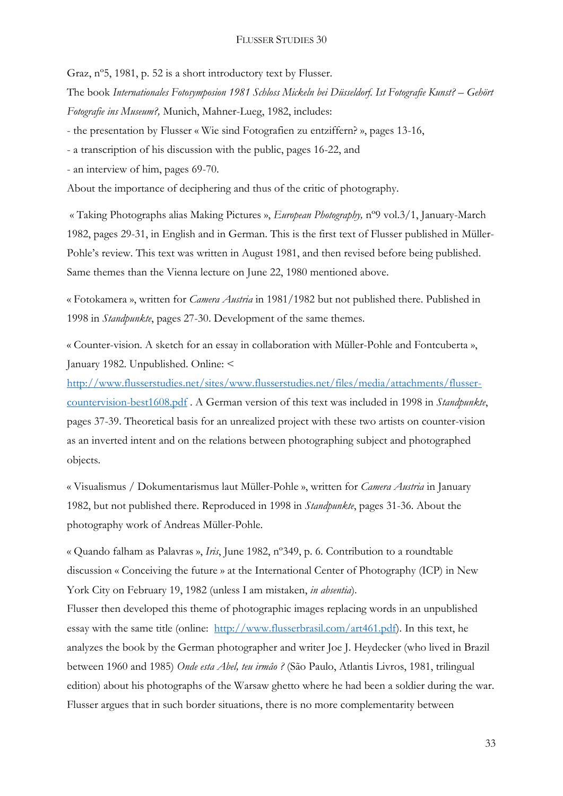Graz, nº5, 1981, p. 52 is a short introductory text by Flusser.

The book *Internationales Fotosymposion 1981 Schloss Mickeln bei Düsseldorf. Ist Fotografie Kunst? – Gehört Fotografie ins Museum?,* Munich, Mahner-Lueg, 1982, includes:

- the presentation by Flusser « Wie sind Fotografien zu entziffern? », pages 13-16,

- a transcription of his discussion with the public, pages 16-22, and

- an interview of him, pages 69-70.

About the importance of deciphering and thus of the critic of photography.

« Taking Photographs alias Making Pictures », *European Photography,* nº9 vol.3/1, January-March 1982, pages 29-31, in English and in German. This is the first text of Flusser published in Müller-Pohle's review. This text was written in August 1981, and then revised before being published. Same themes than the Vienna lecture on June 22, 1980 mentioned above.

« Fotokamera », written for *Camera Austria* in 1981/1982 but not published there. Published in 1998 in *Standpunkte*, pages 27-30. Development of the same themes.

« Counter-vision. A sketch for an essay in collaboration with Müller-Pohle and Fontcuberta », January 1982. Unpublished. Online: <

[http://www.flusserstudies.net/sites/www.flusserstudies.net/files/media/attachments/flusser](http://www.flusserstudies.net/sites/www.flusserstudies.net/files/media/attachments/flusser-countervision-best1608.pdf)[countervision-best1608.pdf](http://www.flusserstudies.net/sites/www.flusserstudies.net/files/media/attachments/flusser-countervision-best1608.pdf) . A German version of this text was included in 1998 in *Standpunkte*, pages 37-39. Theoretical basis for an unrealized project with these two artists on counter-vision as an inverted intent and on the relations between photographing subject and photographed objects.

« Visualismus / Dokumentarismus laut Müller-Pohle », written for *Camera Austria* in January 1982, but not published there. Reproduced in 1998 in *Standpunkte*, pages 31-36. About the photography work of Andreas Müller-Pohle.

« Quando falham as Palavras », *Iris*, June 1982, nº349, p. 6. Contribution to a roundtable discussion « Conceiving the future » at the International Center of Photography (ICP) in New York City on February 19, 1982 (unless I am mistaken, *in absentia*).

Flusser then developed this theme of photographic images replacing words in an unpublished essay with the same title (online: [http://www.flusserbrasil.com/art461.pdf\)](http://www.flusserbrasil.com/art461.pdf). In this text, he analyzes the book by the German photographer and writer Joe J. Heydecker (who lived in Brazil between 1960 and 1985) *Onde esta Abel, teu irmâo ?* (São Paulo, Atlantis Livros, 1981, trilingual edition) about his photographs of the Warsaw ghetto where he had been a soldier during the war. Flusser argues that in such border situations, there is no more complementarity between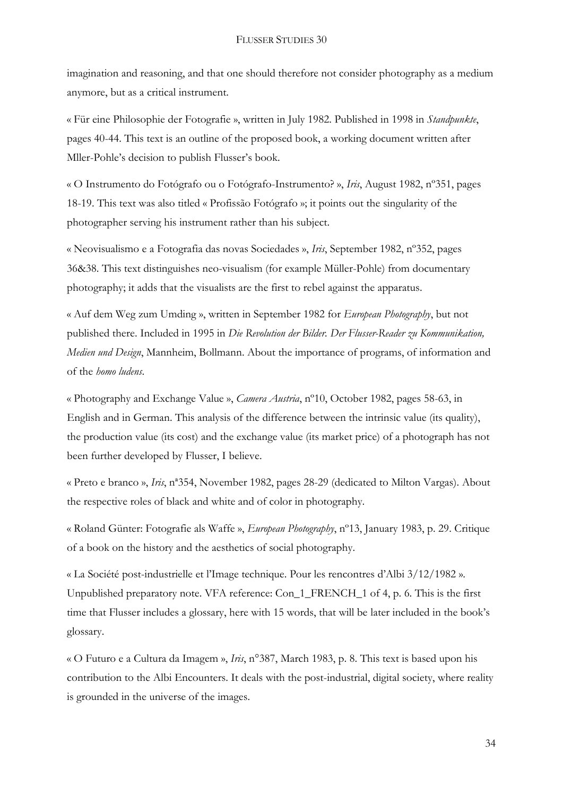imagination and reasoning, and that one should therefore not consider photography as a medium anymore, but as a critical instrument.

« Für eine Philosophie der Fotografie », written in July 1982. Published in 1998 in *Standpunkte*, pages 40-44. This text is an outline of the proposed book, a working document written after Mller-Pohle's decision to publish Flusser's book.

« O Instrumento do Fotógrafo ou o Fotógrafo-Instrumento? », *Iris*, August 1982, nº351, pages 18-19. This text was also titled « Profissão Fotógrafo »; it points out the singularity of the photographer serving his instrument rather than his subject.

« Neovisualismo e a Fotografia das novas Sociedades », *Iris*, September 1982, nº352, pages 36&38. This text distinguishes neo-visualism (for example Müller-Pohle) from documentary photography; it adds that the visualists are the first to rebel against the apparatus.

« Auf dem Weg zum Umding », written in September 1982 for *European Photography*, but not published there. Included in 1995 in *Die Revolution der Bilder. Der Flusser-Reader zu Kommunikation, Medien und Design*, Mannheim, Bollmann. About the importance of programs, of information and of the *homo ludens*.

« Photography and Exchange Value », *Camera Austria*, nº10, October 1982, pages 58-63, in English and in German. This analysis of the difference between the intrinsic value (its quality), the production value (its cost) and the exchange value (its market price) of a photograph has not been further developed by Flusser, I believe.

« Preto e branco », *Iris*, nª354, November 1982, pages 28-29 (dedicated to Milton Vargas). About the respective roles of black and white and of color in photography.

« Roland Günter: Fotografie als Waffe », *European Photography*, nº13, January 1983, p. 29. Critique of a book on the history and the aesthetics of social photography.

« La Société post-industrielle et l'Image technique. Pour les rencontres d'Albi 3/12/1982 ». Unpublished preparatory note. VFA reference: Con\_1\_FRENCH\_1 of 4, p. 6. This is the first time that Flusser includes a glossary, here with 15 words, that will be later included in the book's glossary.

« O Futuro e a Cultura da Imagem », *Iris*, n°387, March 1983, p. 8. This text is based upon his contribution to the Albi Encounters. It deals with the post-industrial, digital society, where reality is grounded in the universe of the images.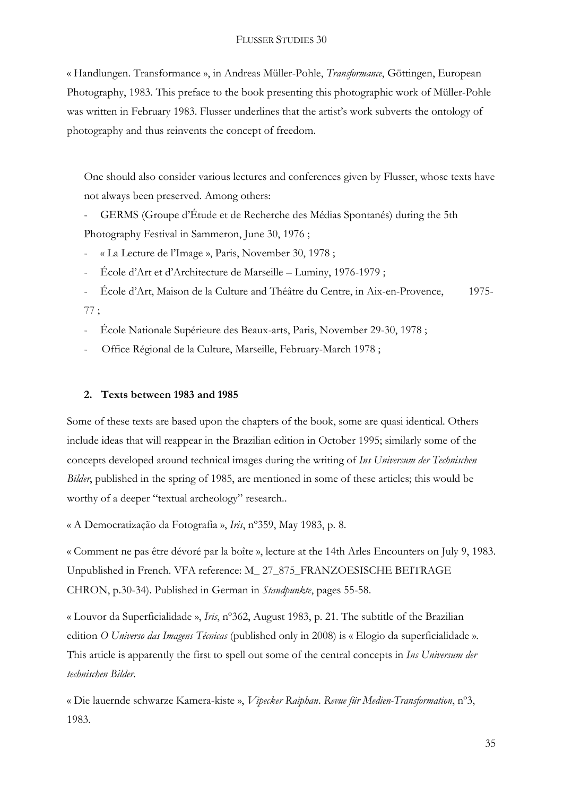« Handlungen. Transformance », in Andreas Müller-Pohle, *Transformance*, Göttingen, European Photography, 1983. This preface to the book presenting this photographic work of Müller-Pohle was written in February 1983. Flusser underlines that the artist's work subverts the ontology of photography and thus reinvents the concept of freedom.

One should also consider various lectures and conferences given by Flusser, whose texts have not always been preserved. Among others:

- GERMS (Groupe d'Étude et de Recherche des Médias Spontanés) during the 5th Photography Festival in Sammeron, June 30, 1976 ;

- « La Lecture de l'Image », Paris, November 30, 1978 ;
- École d'Art et d'Architecture de Marseille Luminy, 1976-1979 ;

- École d'Art, Maison de la Culture and Théâtre du Centre, in Aix-en-Provence, 1975- 77 ;

- École Nationale Supérieure des Beaux-arts, Paris, November 29-30, 1978 ;
- Office Régional de la Culture, Marseille, February-March 1978 ;

## **2. Texts between 1983 and 1985**

Some of these texts are based upon the chapters of the book, some are quasi identical. Others include ideas that will reappear in the Brazilian edition in October 1995; similarly some of the concepts developed around technical images during the writing of *Ins Universum der Technischen Bilder*, published in the spring of 1985, are mentioned in some of these articles; this would be worthy of a deeper "textual archeology" research...

« A Democratização da Fotografia », *Iris*, nº359, May 1983, p. 8.

« Comment ne pas être dévoré par la boîte », lecture at the 14th Arles Encounters on July 9, 1983. Unpublished in French. VFA reference: M\_ 27\_875\_FRANZOESISCHE BEITRAGE CHRON, p.30-34). Published in German in *Standpunkte*, pages 55-58.

« Louvor da Superficialidade », *Iris*, nº362, August 1983, p. 21. The subtitle of the Brazilian edition *O Universo das Imagens Técnicas* (published only in 2008) is « Elogio da superficialidade ». This article is apparently the first to spell out some of the central concepts in *Ins Universum der technischen Bilder*.

« Die lauernde schwarze Kamera-kiste », *Vipecker Raiphan*. *Revue für Medien-Transformation*, nº3, 1983.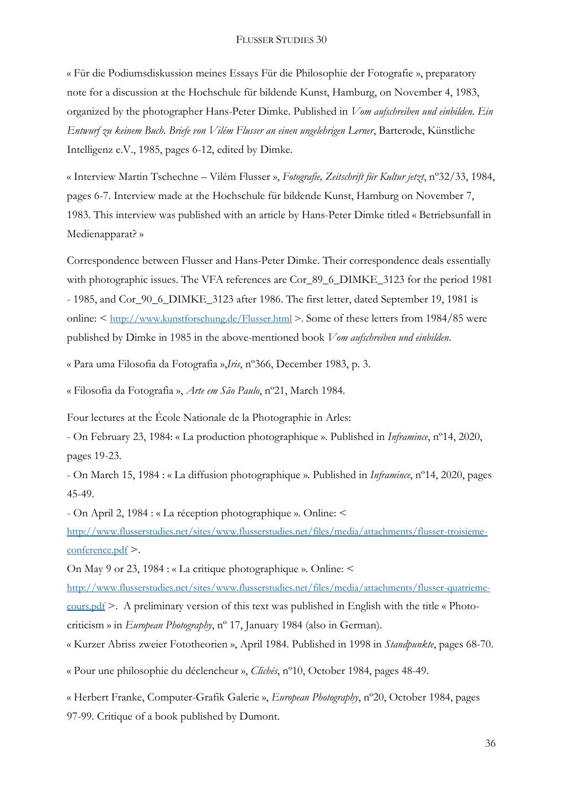« Für die Podiumsdiskussion meines Essays Für die Philosophie der Fotografie », preparatory note for a discussion at the Hochschule für bildende Kunst, Hamburg, on November 4, 1983, organized by the photographer Hans-Peter Dimke. Published in *Vom aufschreiben und einbilden. Ein Entwurf zu keinem Buch. Briefe von Vilém Flusser an einen ungelehrigen Lerner*, Barterode, Künstliche Intelligenz e.V., 1985, pages 6-12, edited by Dimke.

« Interview Martin Tschechne – Vilém Flusser », *Fotografie, Zeitschrift für Kultur jetzt*, nº32/33, 1984, pages 6-7. Interview made at the Hochschule für bildende Kunst, Hamburg on November 7, 1983. This interview was published with an article by Hans-Peter Dimke titled « Betriebsunfall in Medienapparat? »

Correspondence between Flusser and Hans-Peter Dimke. Their correspondence deals essentially with photographic issues. The VFA references are Cor\_89\_6\_DIMKE\_3123 for the period 1981 - 1985, and Cor\_90\_6\_DIMKE\_3123 after 1986. The first letter, dated September 19, 1981 is online: < <http://www.kunstforschung.de/Flusser.html> >. Some of these letters from 1984/85 were published by Dimke in 1985 in the above-mentioned book *Vom aufschreiben und einbilden*.

« Para uma Filosofia da Fotografia »,*Iris*, nº366, December 1983, p. 3.

« Filosofia da Fotografia », *Arte em São Paulo*, nº21, March 1984.

Four lectures at the École Nationale de la Photographie in Arles:

- On February 23, 1984: « La production photographique ». Published in *Inframince*, nº14, 2020, pages 19-23.

- On March 15, 1984 : « La diffusion photographique ». Published in *Inframince*, nº14, 2020, pages 45-49.

- On April 2, 1984 : « La réception photographique ». Online: <

[http://www.flusserstudies.net/sites/www.flusserstudies.net/files/media/attachments/flusser-troisieme](http://www.flusserstudies.net/sites/www.flusserstudies.net/files/media/attachments/flusser-troisieme-conference.pdf)[conference.pdf](http://www.flusserstudies.net/sites/www.flusserstudies.net/files/media/attachments/flusser-troisieme-conference.pdf) >.

On May 9 or 23, 1984 : « La critique photographique ». Online: <

[http://www.flusserstudies.net/sites/www.flusserstudies.net/files/media/attachments/flusser-quatrieme](http://www.flusserstudies.net/sites/www.flusserstudies.net/files/media/attachments/flusser-quatrieme-cours.pdf)[cours.pdf](http://www.flusserstudies.net/sites/www.flusserstudies.net/files/media/attachments/flusser-quatrieme-cours.pdf) >. A preliminary version of this text was published in English with the title « Photocriticism » in *European Photography*, nº 17, January 1984 (also in German).

« Kurzer Abriss zweier Fototheorien », April 1984. Published in 1998 in *Standpunkte*, pages 68-70.

« Pour une philosophie du déclencheur », *Clichés*, nº10, October 1984, pages 48-49.

« Herbert Franke, Computer-Grafik Galerie », *European Photography*, nº20, October 1984, pages 97-99. Critique of a book published by Dumont.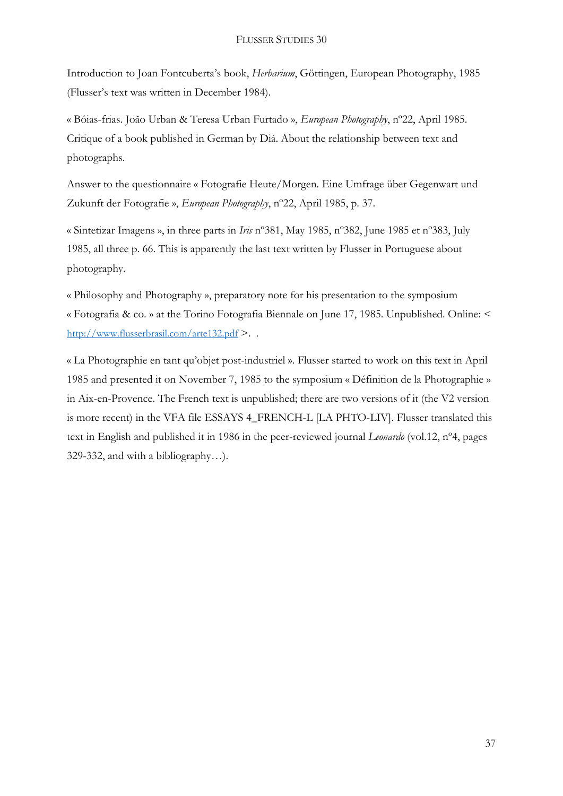Introduction to Joan Fontcuberta's book, *Herbarium*, Göttingen, European Photography, 1985 (Flusser's text was written in December 1984).

« Bóias-frias. João Urban & Teresa Urban Furtado », *European Photography*, nº22, April 1985. Critique of a book published in German by Diá. About the relationship between text and photographs.

Answer to the questionnaire « Fotografie Heute/Morgen. Eine Umfrage über Gegenwart und Zukunft der Fotografie », *European Photography*, nº22, April 1985, p. 37.

« Sintetizar Imagens », in three parts in *Iris* nº381, May 1985, nº382, June 1985 et nº383, July 1985, all three p. 66. This is apparently the last text written by Flusser in Portuguese about photography.

« Philosophy and Photography », preparatory note for his presentation to the symposium « Fotografia & co. » at the Torino Fotografia Biennale on June 17, 1985. Unpublished. Online: < <http://www.flusserbrasil.com/arte132.pdf> >. .

« La Photographie en tant qu'objet post-industriel ». Flusser started to work on this text in April 1985 and presented it on November 7, 1985 to the symposium « Définition de la Photographie » in Aix-en-Provence. The French text is unpublished; there are two versions of it (the V2 version is more recent) in the VFA file ESSAYS 4\_FRENCH-L [LA PHTO-LIV]. Flusser translated this text in English and published it in 1986 in the peer-reviewed journal *Leonardo* (vol.12, nº4, pages 329-332, and with a bibliography…).